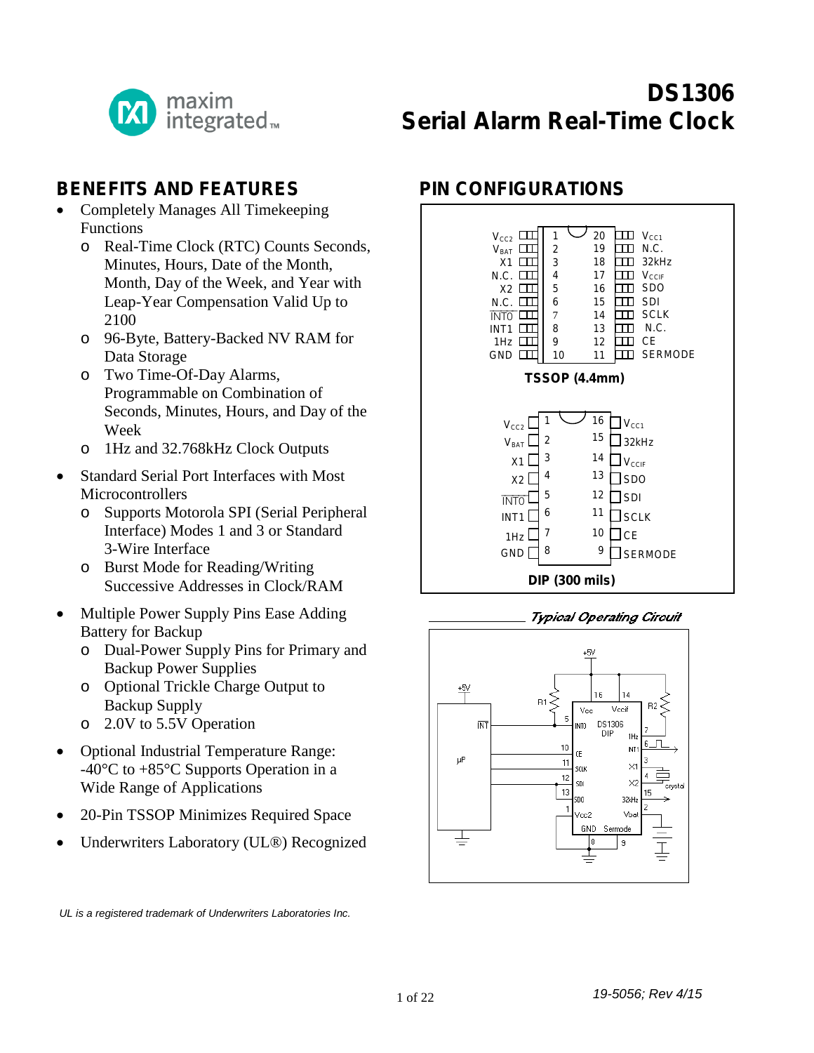

# **DS1306 Serial Alarm Real-Time Clock**

#### **BENEFITS AND FEATURES**

- Completely Manages All Timekeeping Functions
	- o Real-Time Clock (RTC) Counts Seconds, Minutes, Hours, Date of the Month, Month, Day of the Week, and Year with Leap-Year Compensation Valid Up to 2100
	- o 96-Byte, Battery-Backed NV RAM for Data Storage
	- o Two Time-Of-Day Alarms, Programmable on Combination of Seconds, Minutes, Hours, and Day of the Week
	- o 1Hz and 32.768kHz Clock Outputs
- Standard Serial Port Interfaces with Most **Microcontrollers** 
	- o Supports Motorola SPI (Serial Peripheral Interface) Modes 1 and 3 or Standard 3-Wire Interface
	- o Burst Mode for Reading/Writing Successive Addresses in Clock/RAM
- Multiple Power Supply Pins Ease Adding Battery for Backup
	- o Dual-Power Supply Pins for Primary and Backup Power Supplies
	- o Optional Trickle Charge Output to Backup Supply
	- o 2.0V to 5.5V Operation
- Optional Industrial Temperature Range: -40°C to +85°C Supports Operation in a Wide Range of Applications
- 20-Pin TSSOP Minimizes Required Space
- Underwriters Laboratory (UL®) Recognized

*UL is a registered trademark of Underwriters Laboratories Inc.*

## **PIN CONFIGURATIONS**





#### **Typical Operating Circuit**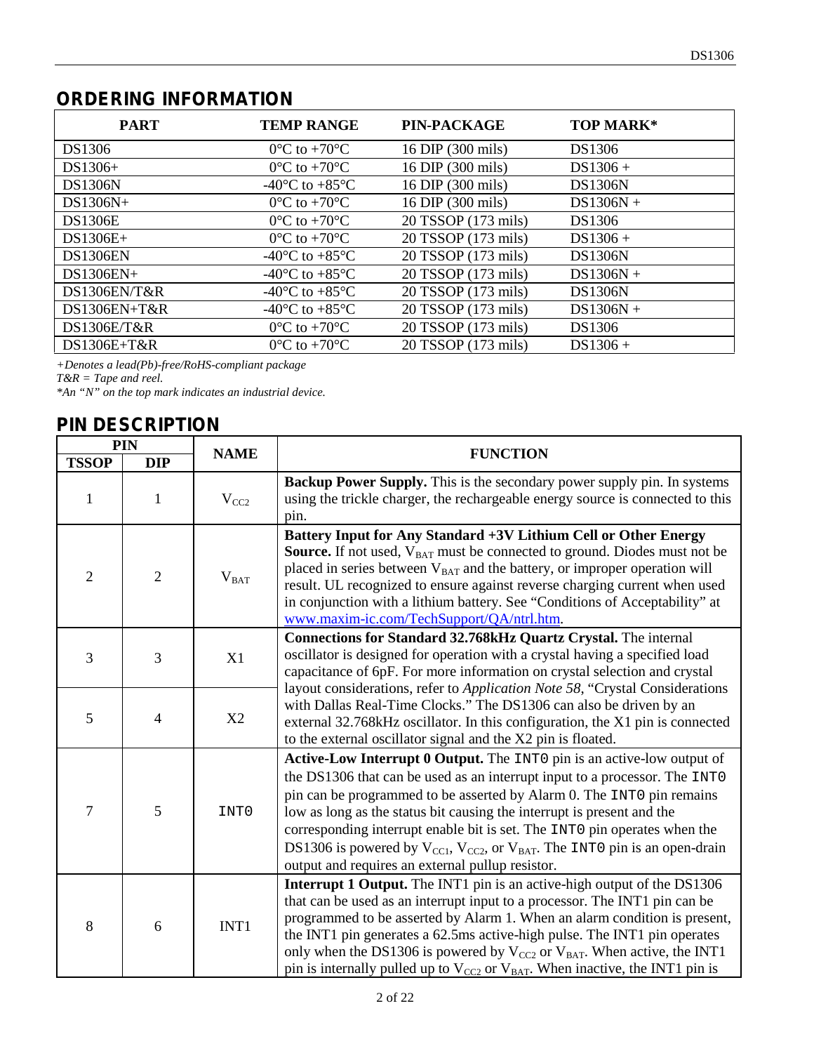# **ORDERING INFORMATION**

| <b>PART</b>     | <b>TEMP RANGE</b>                                    | <b>PIN-PACKAGE</b>  | <b>TOP MARK*</b> |
|-----------------|------------------------------------------------------|---------------------|------------------|
| DS1306          | $0^{\circ}$ C to +70 $^{\circ}$ C                    | 16 DIP (300 mils)   | DS1306           |
| $DS1306+$       | $0^{\circ}$ C to +70 $^{\circ}$ C                    | 16 DIP (300 mils)   | $DS1306 +$       |
| <b>DS1306N</b>  | -40 $^{\circ}$ C to +85 $^{\circ}$ C                 | 16 DIP (300 mils)   | <b>DS1306N</b>   |
| $DS1306N+$      | $0^{\circ}$ C to +70 $^{\circ}$ C                    | 16 DIP (300 mils)   | $DS1306N +$      |
| <b>DS1306E</b>  | $0^{\circ}$ C to +70 $^{\circ}$ C                    | 20 TSSOP (173 mils) | DS1306           |
| $DS1306E+$      | $0^{\circ}$ C to +70 $^{\circ}$ C                    | 20 TSSOP (173 mils) | $DS1306 +$       |
| <b>DS1306EN</b> | -40 $\mathrm{^{\circ}C}$ to +85 $\mathrm{^{\circ}C}$ | 20 TSSOP (173 mils) | <b>DS1306N</b>   |
| $DS1306EN+$     | -40 $^{\circ}$ C to +85 $^{\circ}$ C                 | 20 TSSOP (173 mils) | $DS1306N +$      |
| DS1306EN/T&R    | $-40^{\circ}$ C to $+85^{\circ}$ C                   | 20 TSSOP (173 mils) | <b>DS1306N</b>   |
| $DS1306EN+T&R$  | -40 $^{\circ}$ C to +85 $^{\circ}$ C                 | 20 TSSOP (173 mils) | $DS1306N +$      |
| DS1306E/T&R     | $0^{\circ}$ C to +70 $^{\circ}$ C                    | 20 TSSOP (173 mils) | DS1306           |
| $DS1306E+T&R$   | $0^{\circ}$ C to +70 $^{\circ}$ C                    | 20 TSSOP (173 mils) | $DS1306 +$       |

*+Denotes a lead(Pb)-free/RoHS-compliant package*

*T&R = Tape and reel.*

*\*An "N" on the top mark indicates an industrial device.*

#### **PIN DESCRIPTION**

|                | <b>PIN</b>     |               |                                                                                                                                                                                                                                                                                                                                                                                                                                                                                                                                                            |
|----------------|----------------|---------------|------------------------------------------------------------------------------------------------------------------------------------------------------------------------------------------------------------------------------------------------------------------------------------------------------------------------------------------------------------------------------------------------------------------------------------------------------------------------------------------------------------------------------------------------------------|
| <b>TSSOP</b>   | <b>DIP</b>     | <b>NAME</b>   | <b>FUNCTION</b>                                                                                                                                                                                                                                                                                                                                                                                                                                                                                                                                            |
| $\mathbf{1}$   | $\mathbf{1}$   | $V_{CC2}$     | Backup Power Supply. This is the secondary power supply pin. In systems<br>using the trickle charger, the rechargeable energy source is connected to this<br>pin.                                                                                                                                                                                                                                                                                                                                                                                          |
| $\overline{2}$ | $\overline{2}$ | $\rm V_{BAT}$ | Battery Input for Any Standard +3V Lithium Cell or Other Energy<br><b>Source.</b> If not used, $V_{BAT}$ must be connected to ground. Diodes must not be<br>placed in series between $V_{BAT}$ and the battery, or improper operation will<br>result. UL recognized to ensure against reverse charging current when used<br>in conjunction with a lithium battery. See "Conditions of Acceptability" at<br>www.maxim-ic.com/TechSupport/QA/ntrl.htm.                                                                                                       |
| 3              | 3              | X1            | Connections for Standard 32.768kHz Quartz Crystal. The internal<br>oscillator is designed for operation with a crystal having a specified load<br>capacitance of 6pF. For more information on crystal selection and crystal                                                                                                                                                                                                                                                                                                                                |
| 5              | $\overline{4}$ | X2            | layout considerations, refer to Application Note 58, "Crystal Considerations<br>with Dallas Real-Time Clocks." The DS1306 can also be driven by an<br>external 32.768kHz oscillator. In this configuration, the X1 pin is connected<br>to the external oscillator signal and the X2 pin is floated.                                                                                                                                                                                                                                                        |
| 7              | 5              | INT0          | Active-Low Interrupt 0 Output. The INTO pin is an active-low output of<br>the DS1306 that can be used as an interrupt input to a processor. The INTO<br>pin can be programmed to be asserted by Alarm 0. The INTO pin remains<br>low as long as the status bit causing the interrupt is present and the<br>corresponding interrupt enable bit is set. The INT0 pin operates when the<br>DS1306 is powered by $V_{\text{CC1}}$ , $V_{\text{CC2}}$ , or $V_{\text{BAT}}$ . The INT0 pin is an open-drain<br>output and requires an external pullup resistor. |
| 8              | 6              | INT1          | <b>Interrupt 1 Output.</b> The INT1 pin is an active-high output of the DS1306<br>that can be used as an interrupt input to a processor. The INT1 pin can be<br>programmed to be asserted by Alarm 1. When an alarm condition is present,<br>the INT1 pin generates a 62.5ms active-high pulse. The INT1 pin operates<br>only when the DS1306 is powered by $V_{CC2}$ or $V_{BAT}$ . When active, the INT1<br>pin is internally pulled up to $V_{CC2}$ or $V_{BAT}$ . When inactive, the INT1 pin is                                                       |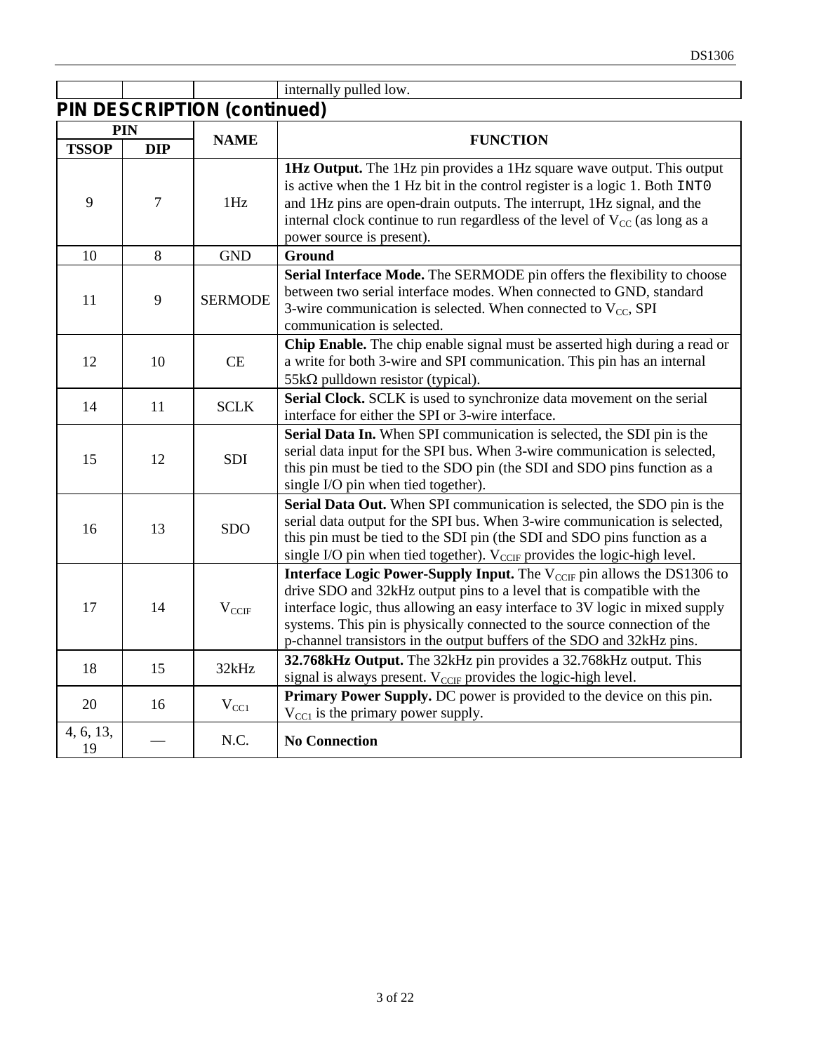|                 |                |                                    | internally pulled low.                                                                                                                                                                                                                                                                                                                                                                                     |
|-----------------|----------------|------------------------------------|------------------------------------------------------------------------------------------------------------------------------------------------------------------------------------------------------------------------------------------------------------------------------------------------------------------------------------------------------------------------------------------------------------|
|                 |                | <b>PIN DESCRIPTION (continued)</b> |                                                                                                                                                                                                                                                                                                                                                                                                            |
|                 | PIN            | <b>NAME</b>                        | <b>FUNCTION</b>                                                                                                                                                                                                                                                                                                                                                                                            |
| <b>TSSOP</b>    | <b>DIP</b>     |                                    |                                                                                                                                                                                                                                                                                                                                                                                                            |
| 9               | $\overline{7}$ | 1Hz                                | 1Hz Output. The 1Hz pin provides a 1Hz square wave output. This output<br>is active when the 1 Hz bit in the control register is a logic 1. Both INTO<br>and 1Hz pins are open-drain outputs. The interrupt, 1Hz signal, and the<br>internal clock continue to run regardless of the level of $V_{CC}$ (as long as a<br>power source is present).                                                          |
| 10              | 8              | <b>GND</b>                         | <b>Ground</b>                                                                                                                                                                                                                                                                                                                                                                                              |
| 11              | 9              | <b>SERMODE</b>                     | Serial Interface Mode. The SERMODE pin offers the flexibility to choose<br>between two serial interface modes. When connected to GND, standard<br>3-wire communication is selected. When connected to $V_{CC}$ , SPI<br>communication is selected.                                                                                                                                                         |
| 12              | 10             | CE                                 | Chip Enable. The chip enable signal must be asserted high during a read or<br>a write for both 3-wire and SPI communication. This pin has an internal<br>$55k\Omega$ pulldown resistor (typical).                                                                                                                                                                                                          |
| 14              | 11             | <b>SCLK</b>                        | Serial Clock. SCLK is used to synchronize data movement on the serial<br>interface for either the SPI or 3-wire interface.                                                                                                                                                                                                                                                                                 |
| 15              | 12             | <b>SDI</b>                         | Serial Data In. When SPI communication is selected, the SDI pin is the<br>serial data input for the SPI bus. When 3-wire communication is selected,<br>this pin must be tied to the SDO pin (the SDI and SDO pins function as a<br>single I/O pin when tied together).                                                                                                                                     |
| 16              | 13             | <b>SDO</b>                         | Serial Data Out. When SPI communication is selected, the SDO pin is the<br>serial data output for the SPI bus. When 3-wire communication is selected,<br>this pin must be tied to the SDI pin (the SDI and SDO pins function as a<br>single I/O pin when tied together). $V_{\text{CCIF}}$ provides the logic-high level.                                                                                  |
| 17              | 14             | $V_{CCIF}$                         | <b>Interface Logic Power-Supply Input.</b> The V <sub>CCIF</sub> pin allows the DS1306 to<br>drive SDO and 32kHz output pins to a level that is compatible with the<br>interface logic, thus allowing an easy interface to 3V logic in mixed supply<br>systems. This pin is physically connected to the source connection of the<br>p-channel transistors in the output buffers of the SDO and 32kHz pins. |
| 18              | 15             | 32kHz                              | 32.768kHz Output. The 32kHz pin provides a 32.768kHz output. This<br>signal is always present. V <sub>CCIF</sub> provides the logic-high level.                                                                                                                                                                                                                                                            |
| 20              | 16             | $V_{CC1}$                          | Primary Power Supply. DC power is provided to the device on this pin.<br>$V_{\text{CC1}}$ is the primary power supply.                                                                                                                                                                                                                                                                                     |
| 4, 6, 13,<br>19 |                | N.C.                               | <b>No Connection</b>                                                                                                                                                                                                                                                                                                                                                                                       |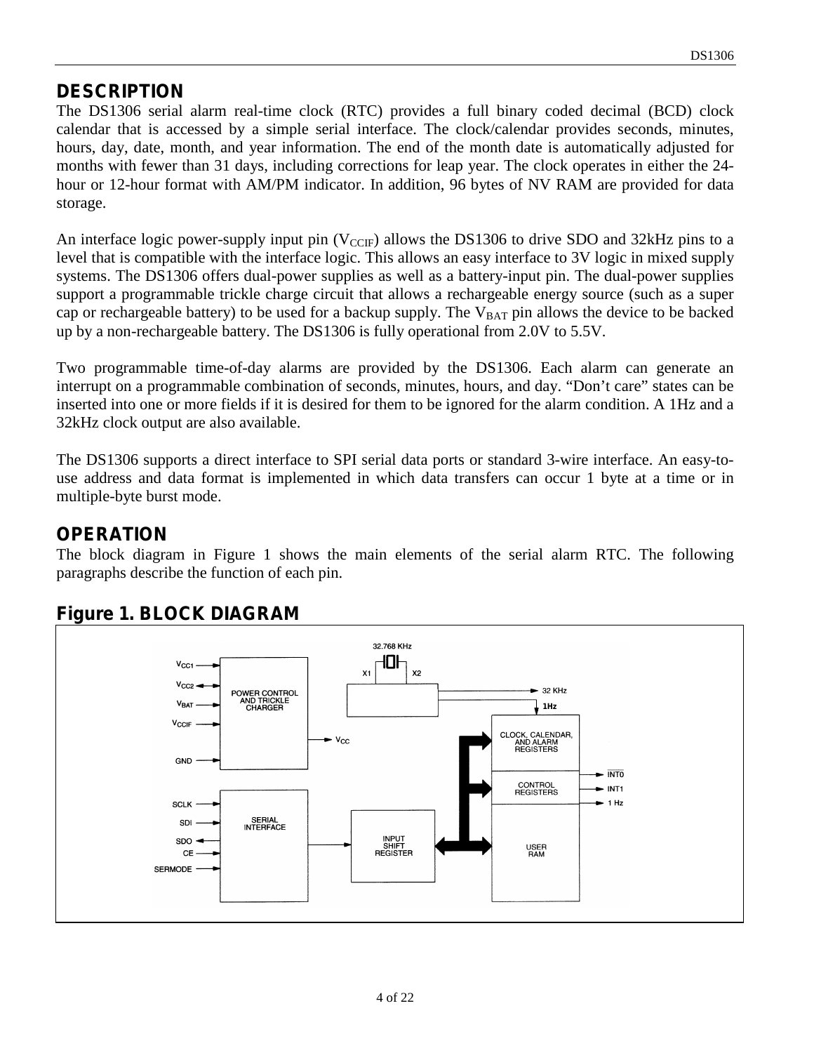#### **DESCRIPTION**

The DS1306 serial alarm real-time clock (RTC) provides a full binary coded decimal (BCD) clock calendar that is accessed by a simple serial interface. The clock/calendar provides seconds, minutes, hours, day, date, month, and year information. The end of the month date is automatically adjusted for months with fewer than 31 days, including corrections for leap year. The clock operates in either the 24 hour or 12-hour format with AM/PM indicator. In addition, 96 bytes of NV RAM are provided for data storage.

An interface logic power-supply input pin  $(V_{CCF})$  allows the DS1306 to drive SDO and 32kHz pins to a level that is compatible with the interface logic. This allows an easy interface to 3V logic in mixed supply systems. The DS1306 offers dual-power supplies as well as a battery-input pin. The dual-power supplies support a programmable trickle charge circuit that allows a rechargeable energy source (such as a super cap or rechargeable battery) to be used for a backup supply. The  $V_{BAT}$  pin allows the device to be backed up by a non-rechargeable battery. The DS1306 is fully operational from 2.0V to 5.5V.

Two programmable time-of-day alarms are provided by the DS1306. Each alarm can generate an interrupt on a programmable combination of seconds, minutes, hours, and day. "Don't care" states can be inserted into one or more fields if it is desired for them to be ignored for the alarm condition. A 1Hz and a 32kHz clock output are also available.

The DS1306 supports a direct interface to SPI serial data ports or standard 3-wire interface. An easy-touse address and data format is implemented in which data transfers can occur 1 byte at a time or in multiple-byte burst mode.

#### **OPERATION**

The block diagram in Figure 1 shows the main elements of the serial alarm RTC. The following paragraphs describe the function of each pin.



# **Figure 1. BLOCK DIAGRAM**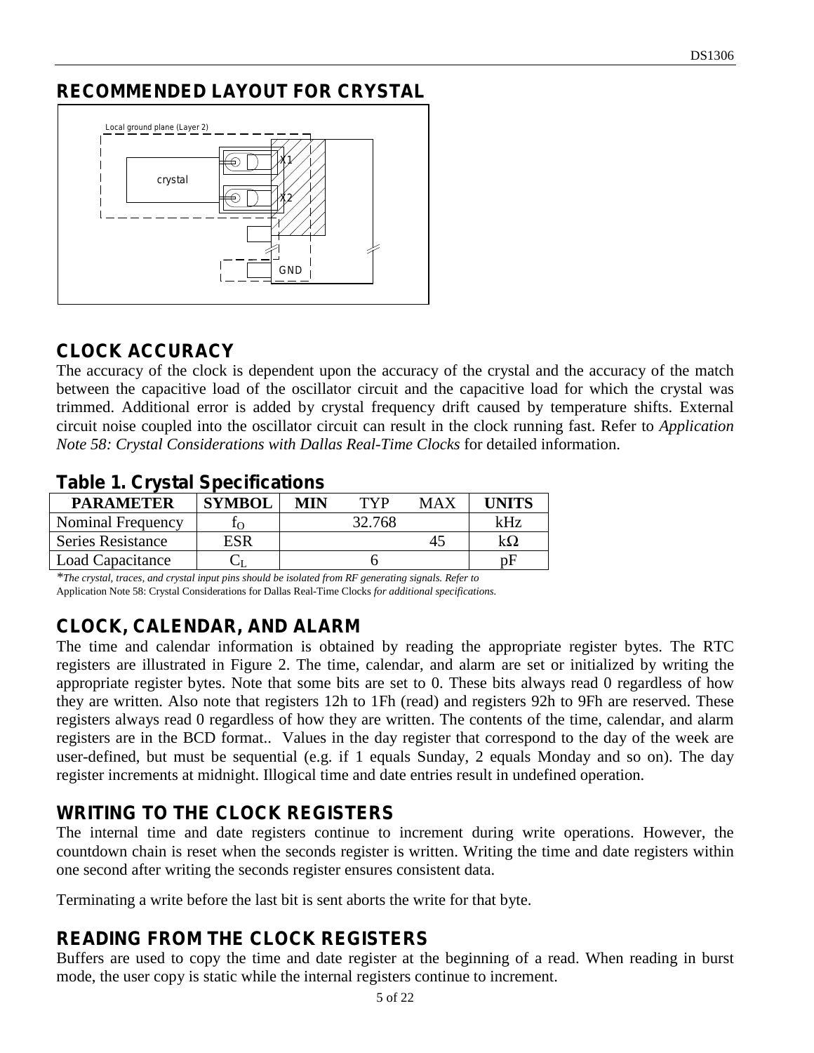# **RECOMMENDED LAYOUT FOR CRYSTAL**



# **CLOCK ACCURACY**

The accuracy of the clock is dependent upon the accuracy of the crystal and the accuracy of the match between the capacitive load of the oscillator circuit and the capacitive load for which the crystal was trimmed. Additional error is added by crystal frequency drift caused by temperature shifts. External circuit noise coupled into the oscillator circuit can result in the clock running fast. Refer to *Application Note 58: Crystal Considerations with Dallas Real-Time Clocks* for detailed information.

# **Table 1. Crystal Specifications**

| <b>SYMBOL</b> | MIN | TVP    | MAX | I INITS |
|---------------|-----|--------|-----|---------|
|               |     | 32.768 |     | kHz     |
|               |     |        | 43  |         |
|               |     |        |     | nн      |
|               |     |        |     |         |

*\*The crystal, traces, and crystal input pins should be isolated from RF generating signals. Refer to*  Application Note 58: Crystal Considerations for Dallas Real-Time Clocks *for additional specifications.*

# **CLOCK, CALENDAR, AND ALARM**

The time and calendar information is obtained by reading the appropriate register bytes. The RTC registers are illustrated in Figure 2. The time, calendar, and alarm are set or initialized by writing the appropriate register bytes. Note that some bits are set to 0. These bits always read 0 regardless of how they are written. Also note that registers 12h to 1Fh (read) and registers 92h to 9Fh are reserved. These registers always read 0 regardless of how they are written. The contents of the time, calendar, and alarm registers are in the BCD format.. Values in the day register that correspond to the day of the week are user-defined, but must be sequential (e.g. if 1 equals Sunday, 2 equals Monday and so on). The day register increments at midnight. Illogical time and date entries result in undefined operation.

# **WRITING TO THE CLOCK REGISTERS**

The internal time and date registers continue to increment during write operations. However, the countdown chain is reset when the seconds register is written. Writing the time and date registers within one second after writing the seconds register ensures consistent data.

Terminating a write before the last bit is sent aborts the write for that byte.

# **READING FROM THE CLOCK REGISTERS**

Buffers are used to copy the time and date register at the beginning of a read. When reading in burst mode, the user copy is static while the internal registers continue to increment.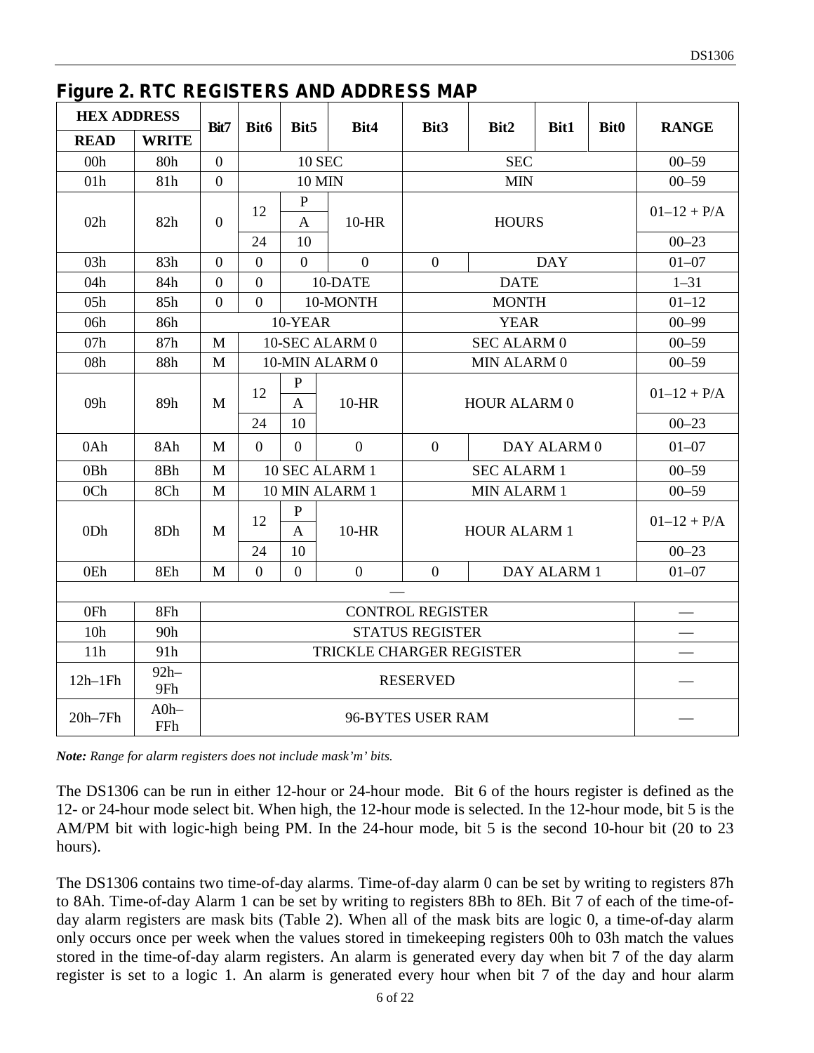#### **Figure 2. RTC REGISTERS AND ADDRESS MAP**

| <b>HEX ADDRESS</b> |               | Bit7           | Bit6                     | Bit5                               | Bit4             | Bit3                     | Bit2                | Bit1                       | <b>Bit0</b> | <b>RANGE</b>                 |  |           |
|--------------------|---------------|----------------|--------------------------|------------------------------------|------------------|--------------------------|---------------------|----------------------------|-------------|------------------------------|--|-----------|
| <b>READ</b>        | <b>WRITE</b>  |                |                          |                                    |                  |                          |                     |                            |             |                              |  |           |
| 00h                | 80h           | $\theta$       |                          | <b>10 SEC</b>                      |                  |                          | <b>SEC</b>          |                            |             | $00 - 59$                    |  |           |
| 01h                | 81h           | $\overline{0}$ |                          | <b>10 MIN</b>                      |                  |                          | <b>MIN</b>          |                            |             | $00 - 59$                    |  |           |
| 02h                | 82h           | $\overline{0}$ | 12<br>24                 | $\mathbf{P}$<br>$\mathbf{A}$<br>10 | $10-HR$          |                          | <b>HOURS</b>        |                            |             | $01 - 12 + P/A$<br>$00 - 23$ |  |           |
| 03h                | 83h           | $\theta$       | $\overline{0}$           | $\Omega$                           | $\Omega$         | $\overline{0}$           |                     | <b>DAY</b>                 |             | $01 - 07$                    |  |           |
| 04h                | 84h           | $\overline{0}$ | $\mathbf{0}$             |                                    | 10-DATE          |                          | <b>DATE</b>         |                            |             | $1 - 31$                     |  |           |
| 05h                | 85h           | $\overline{0}$ | $\theta$                 |                                    | 10-MONTH         |                          | <b>MONTH</b>        |                            |             | $01 - 12$                    |  |           |
| 06h                | 86h           |                |                          | 10-YEAR                            |                  |                          | <b>YEAR</b>         |                            |             | $00 - 99$                    |  |           |
| 07h                | 87h           | M              |                          |                                    | 10-SEC ALARM 0   |                          | <b>SEC ALARM 0</b>  |                            |             | $00 - 59$                    |  |           |
| 08h                | 88h           | M              |                          | 10-MIN ALARM 0                     |                  | MIN ALARM 0              |                     |                            |             |                              |  | $00 - 59$ |
| 09h                | 89h           | M              | 12<br>24                 | $\mathbf{P}$<br>$\mathbf{A}$<br>10 | $10-HR$          | HOUR ALARM 0             |                     | $01-12 + P/A$<br>$00 - 23$ |             |                              |  |           |
| 0Ah                | 8Ah           | M              | $\overline{0}$           | $\Omega$                           | $\overline{0}$   | $\overline{0}$           |                     | DAY ALARM 0                |             | $01 - 07$                    |  |           |
| 0 <sub>Bh</sub>    | 8Bh           | M              |                          | 10 SEC ALARM 1                     |                  |                          | <b>SEC ALARM 1</b>  |                            |             | $00 - 59$                    |  |           |
| 0Ch                | 8Ch           | M              |                          |                                    | 10 MIN ALARM 1   |                          | MIN ALARM 1         |                            |             | $00 - 59$                    |  |           |
| 0Dh                | 8Dh           | M              | 12<br>24                 | $\mathbf P$<br>$\mathbf{A}$<br>10  | $10-HR$          |                          | <b>HOUR ALARM 1</b> |                            |             | $01-12 + P/A$<br>$00 - 23$   |  |           |
| 0Eh                | 8Eh           | M              | $\overline{0}$           | $\boldsymbol{0}$                   | $\boldsymbol{0}$ | $\boldsymbol{0}$         |                     |                            |             | $01 - 07$                    |  |           |
|                    |               |                | DAY ALARM 1              |                                    |                  |                          |                     |                            |             |                              |  |           |
| 0Fh                | 8Fh           |                | <b>CONTROL REGISTER</b>  |                                    |                  |                          |                     |                            |             |                              |  |           |
| 10 <sub>h</sub>    | 90h           |                | <b>STATUS REGISTER</b>   |                                    |                  |                          |                     |                            |             |                              |  |           |
| 11h                | 91h           |                | TRICKLE CHARGER REGISTER |                                    |                  |                          |                     |                            |             |                              |  |           |
| $12h-1Fh$          | $92h-$<br>9Fh |                | <b>RESERVED</b>          |                                    |                  |                          |                     |                            |             |                              |  |           |
| $20h-7Fh$          | $A0h-$<br>FFh |                |                          |                                    |                  | <b>96-BYTES USER RAM</b> |                     |                            |             |                              |  |           |

*Note: Range for alarm registers does not include mask'm' bits.*

The DS1306 can be run in either 12-hour or 24-hour mode. Bit 6 of the hours register is defined as the 12- or 24-hour mode select bit. When high, the 12-hour mode is selected. In the 12-hour mode, bit 5 is the AM/PM bit with logic-high being PM. In the 24-hour mode, bit 5 is the second 10-hour bit (20 to 23 hours).

The DS1306 contains two time-of-day alarms. Time-of-day alarm 0 can be set by writing to registers 87h to 8Ah. Time-of-day Alarm 1 can be set by writing to registers 8Bh to 8Eh. Bit 7 of each of the time-ofday alarm registers are mask bits (Table 2). When all of the mask bits are logic 0, a time-of-day alarm only occurs once per week when the values stored in timekeeping registers 00h to 03h match the values stored in the time-of-day alarm registers. An alarm is generated every day when bit 7 of the day alarm register is set to a logic 1. An alarm is generated every hour when bit 7 of the day and hour alarm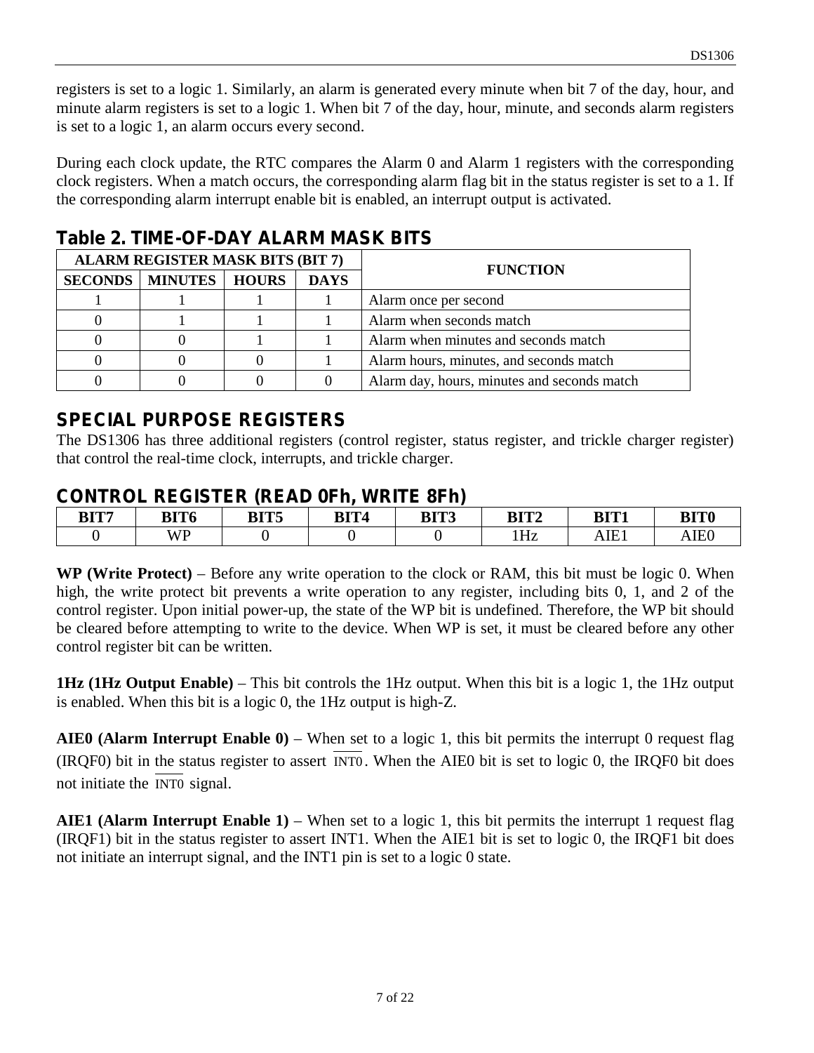registers is set to a logic 1. Similarly, an alarm is generated every minute when bit 7 of the day, hour, and minute alarm registers is set to a logic 1. When bit 7 of the day, hour, minute, and seconds alarm registers is set to a logic 1, an alarm occurs every second.

During each clock update, the RTC compares the Alarm 0 and Alarm 1 registers with the corresponding clock registers. When a match occurs, the corresponding alarm flag bit in the status register is set to a 1. If the corresponding alarm interrupt enable bit is enabled, an interrupt output is activated.

## **Table 2. TIME-OF-DAY ALARM MASK BITS**

| <b>ALARM REGISTER MASK BITS (BIT 7)</b> |             | <b>FUNCTION</b>                             |
|-----------------------------------------|-------------|---------------------------------------------|
| <b>SECONDS   MINUTES   HOURS</b>        | <b>DAYS</b> |                                             |
|                                         |             | Alarm once per second                       |
|                                         |             | Alarm when seconds match                    |
|                                         |             | Alarm when minutes and seconds match        |
|                                         |             | Alarm hours, minutes, and seconds match     |
|                                         |             | Alarm day, hours, minutes and seconds match |

## **SPECIAL PURPOSE REGISTERS**

The DS1306 has three additional registers (control register, status register, and trickle charger register) that control the real-time clock, interrupts, and trickle charger.

#### **CONTROL REGISTER (READ 0Fh, WRITE 8Fh)**

| BIT7 | BIT6      | $\mathbf{n}$ in $\mathbf{r}$<br>DI 19 | BIT4 | DIT?<br>bl 1 J | DITM<br>DI LA | BIT1                            | <b>BIT0</b>              |
|------|-----------|---------------------------------------|------|----------------|---------------|---------------------------------|--------------------------|
|      | WP<br>. . |                                       |      |                | 1Hz           | $\mathbf{r}$<br>. . H<br>31 L I | IFf<br>$\cdot$ . The set |

**WP (Write Protect)** – Before any write operation to the clock or RAM, this bit must be logic 0. When high, the write protect bit prevents a write operation to any register, including bits 0, 1, and 2 of the control register. Upon initial power-up, the state of the WP bit is undefined. Therefore, the WP bit should be cleared before attempting to write to the device. When WP is set, it must be cleared before any other control register bit can be written.

**1Hz (1Hz Output Enable)** – This bit controls the 1Hz output. When this bit is a logic 1, the 1Hz output is enabled. When this bit is a logic 0, the 1Hz output is high-Z.

**AIE0 (Alarm Interrupt Enable 0)** – When set to a logic 1, this bit permits the interrupt 0 request flag (IRQF0) bit in the status register to assert INT0 . When the AIE0 bit is set to logic 0, the IRQF0 bit does not initiate the INT0 signal.

**AIE1 (Alarm Interrupt Enable 1)** – When set to a logic 1, this bit permits the interrupt 1 request flag (IRQF1) bit in the status register to assert INT1. When the AIE1 bit is set to logic 0, the IRQF1 bit does not initiate an interrupt signal, and the INT1 pin is set to a logic 0 state.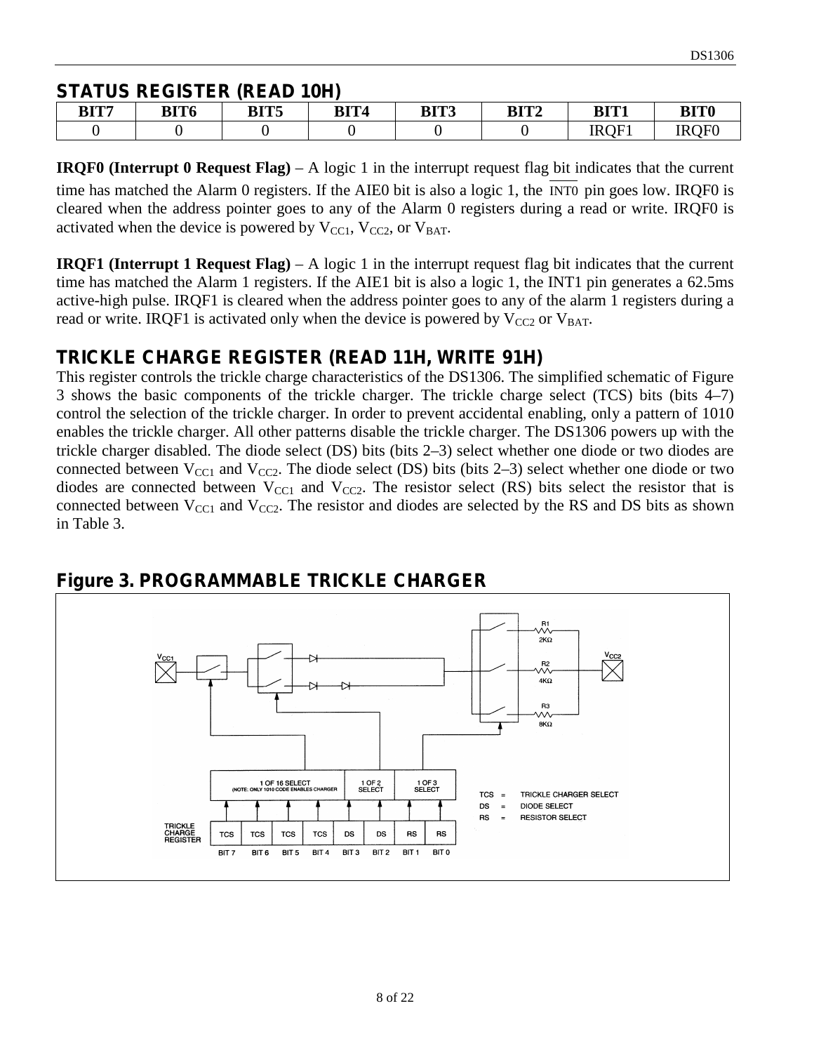#### **STATUS REGISTER (READ 10H)**

| BIT7 | <b>BIT6</b> | <b>DITE</b><br>DI 15 | BIT4 | BIT3 | BIT <sub>2</sub> | BIT1        | <b>BIT0</b>      |
|------|-------------|----------------------|------|------|------------------|-------------|------------------|
|      |             |                      |      |      |                  | <b>IROF</b> | <b>IROE0</b><br> |

**IRQF0 (Interrupt 0 Request Flag)** – A logic 1 in the interrupt request flag bit indicates that the current time has matched the Alarm 0 registers. If the AIE0 bit is also a logic 1, the INT0 pin goes low. IRQF0 is cleared when the address pointer goes to any of the Alarm 0 registers during a read or write. IRQF0 is activated when the device is powered by  $V_{\text{CC1}}$ ,  $V_{\text{CC2}}$ , or  $V_{\text{BAT}}$ .

**IRQF1 (Interrupt 1 Request Flag)** – A logic 1 in the interrupt request flag bit indicates that the current time has matched the Alarm 1 registers. If the AIE1 bit is also a logic 1, the INT1 pin generates a 62.5ms active-high pulse. IRQF1 is cleared when the address pointer goes to any of the alarm 1 registers during a read or write. IRQF1 is activated only when the device is powered by  $V_{CC2}$  or  $V_{BAT}$ .

## **TRICKLE CHARGE REGISTER (READ 11H, WRITE 91H)**

This register controls the trickle charge characteristics of the DS1306. The simplified schematic of Figure 3 shows the basic components of the trickle charger. The trickle charge select (TCS) bits (bits 4–7) control the selection of the trickle charger. In order to prevent accidental enabling, only a pattern of 1010 enables the trickle charger. All other patterns disable the trickle charger. The DS1306 powers up with the trickle charger disabled. The diode select (DS) bits (bits 2–3) select whether one diode or two diodes are connected between  $V_{\text{CC}1}$  and  $V_{\text{CC}2}$ . The diode select (DS) bits (bits 2–3) select whether one diode or two diodes are connected between  $V_{\text{CC}1}$  and  $V_{\text{CC}2}$ . The resistor select (RS) bits select the resistor that is connected between  $V_{\text{CC}1}$  and  $V_{\text{CC}2}$ . The resistor and diodes are selected by the RS and DS bits as shown in Table 3.



## **Figure 3. PROGRAMMABLE TRICKLE CHARGER**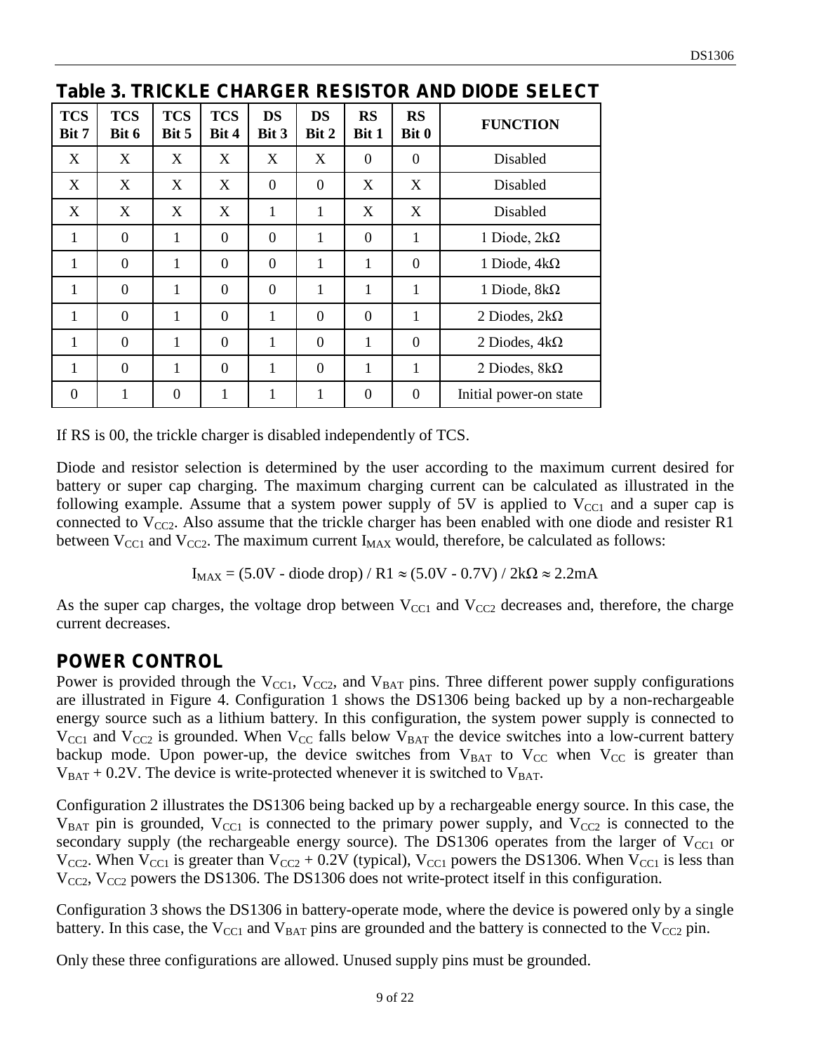| <b>TCS</b><br>Bit 7 | <b>TCS</b><br>Bit 6 | <b>TCS</b><br>Bit 5 | <b>TCS</b><br>Bit 4 | <b>DS</b><br>Bit 3 | <b>DS</b><br>Bit 2 | <b>RS</b><br>Bit 1 | <b>RS</b><br>Bit 0 | <b>FUNCTION</b>        |
|---------------------|---------------------|---------------------|---------------------|--------------------|--------------------|--------------------|--------------------|------------------------|
| X                   | X                   | X                   | X                   | X                  | X                  | $\Omega$           | $\theta$           | Disabled               |
| X                   | X                   | X                   | X                   | $\overline{0}$     | $\theta$           | X                  | X                  | Disabled               |
| X                   | X                   | X                   | X                   | 1                  | 1                  | X                  | X                  | Disabled               |
| 1                   | $\overline{0}$      | 1                   | $\overline{0}$      | $\overline{0}$     | $\mathbf{1}$       | $\overline{0}$     | 1                  | 1 Diode, $2k\Omega$    |
| 1                   | $\overline{0}$      | 1                   | $\overline{0}$      | $\overline{0}$     | 1                  | 1                  | $\overline{0}$     | 1 Diode, $4k\Omega$    |
| $\mathbf{1}$        | $\overline{0}$      | 1                   | $\overline{0}$      | $\theta$           | $\mathbf{1}$       | 1                  | 1                  | 1 Diode, $8k\Omega$    |
| 1                   | $\Omega$            | 1                   | $\overline{0}$      | 1                  | $\theta$           | $\Omega$           | 1                  | 2 Diodes, $2k\Omega$   |
| 1                   | $\overline{0}$      | 1                   | $\overline{0}$      | 1                  | $\theta$           | 1                  | $\theta$           | 2 Diodes, $4k\Omega$   |
| 1                   | $\overline{0}$      | $\mathbf{1}$        | $\overline{0}$      | 1                  | $\theta$           | 1                  | 1                  | 2 Diodes, $8k\Omega$   |
| $\overline{0}$      | 1                   | $\overline{0}$      | 1                   | 1                  | 1                  | $\theta$           | $\overline{0}$     | Initial power-on state |

**Table 3. TRICKLE CHARGER RESISTOR AND DIODE SELECT** 

If RS is 00, the trickle charger is disabled independently of TCS.

Diode and resistor selection is determined by the user according to the maximum current desired for battery or super cap charging. The maximum charging current can be calculated as illustrated in the following example. Assume that a system power supply of 5V is applied to  $V_{\text{CC1}}$  and a super cap is connected to  $V_{CC2}$ . Also assume that the trickle charger has been enabled with one diode and resister R1 between  $V_{CC1}$  and  $V_{CC2}$ . The maximum current  $I_{MAX}$  would, therefore, be calculated as follows:

 $I_{MAX} = (5.0V - diode drop) / R1 \approx (5.0V - 0.7V) / 2k\Omega \approx 2.2mA$ 

As the super cap charges, the voltage drop between  $V_{\text{CC1}}$  and  $V_{\text{CC2}}$  decreases and, therefore, the charge current decreases.

#### **POWER CONTROL**

Power is provided through the  $V_{\text{CC1}}$ ,  $V_{\text{CC2}}$ , and  $V_{\text{BAT}}$  pins. Three different power supply configurations are illustrated in Figure 4. Configuration 1 shows the DS1306 being backed up by a non-rechargeable energy source such as a lithium battery. In this configuration, the system power supply is connected to  $V_{\text{CC1}}$  and  $V_{\text{CC2}}$  is grounded. When  $V_{\text{CC}}$  falls below  $V_{\text{BAT}}$  the device switches into a low-current battery backup mode. Upon power-up, the device switches from  $V_{BAT}$  to  $V_{CC}$  when  $V_{CC}$  is greater than  $V_{BAT}$  + 0.2V. The device is write-protected whenever it is switched to  $V_{BAT}$ .

Configuration 2 illustrates the DS1306 being backed up by a rechargeable energy source. In this case, the  $V_{BAT}$  pin is grounded,  $V_{CCI}$  is connected to the primary power supply, and  $V_{CC2}$  is connected to the secondary supply (the rechargeable energy source). The DS1306 operates from the larger of  $V_{\text{CC1}}$  or  $V_{CC2}$ . When  $V_{CC1}$  is greater than  $V_{CC2}$  + 0.2V (typical),  $V_{CC1}$  powers the DS1306. When  $V_{CC1}$  is less than  $V_{CC2}$ ,  $V_{CC2}$  powers the DS1306. The DS1306 does not write-protect itself in this configuration.

Configuration 3 shows the DS1306 in battery-operate mode, where the device is powered only by a single battery. In this case, the  $V_{\text{CC1}}$  and  $V_{\text{BAT}}$  pins are grounded and the battery is connected to the  $V_{\text{CC2}}$  pin.

Only these three configurations are allowed. Unused supply pins must be grounded.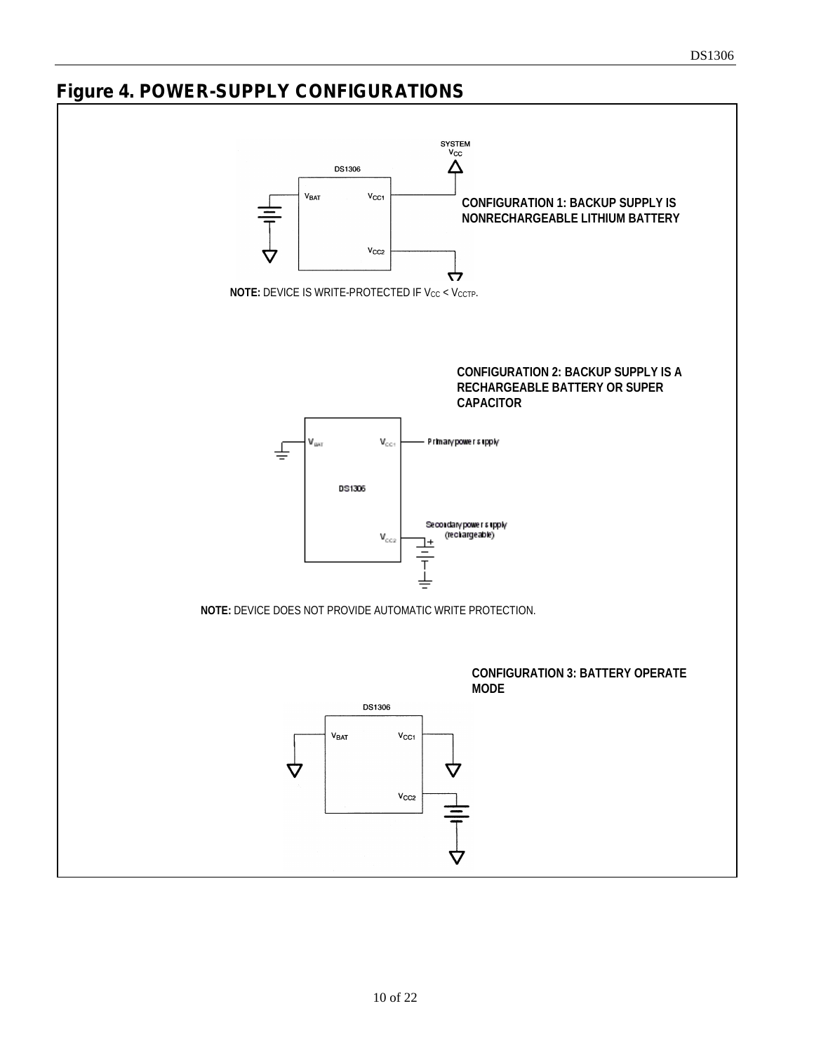# **Figure 4. POWER-SUPPLY CONFIGURATIONS**

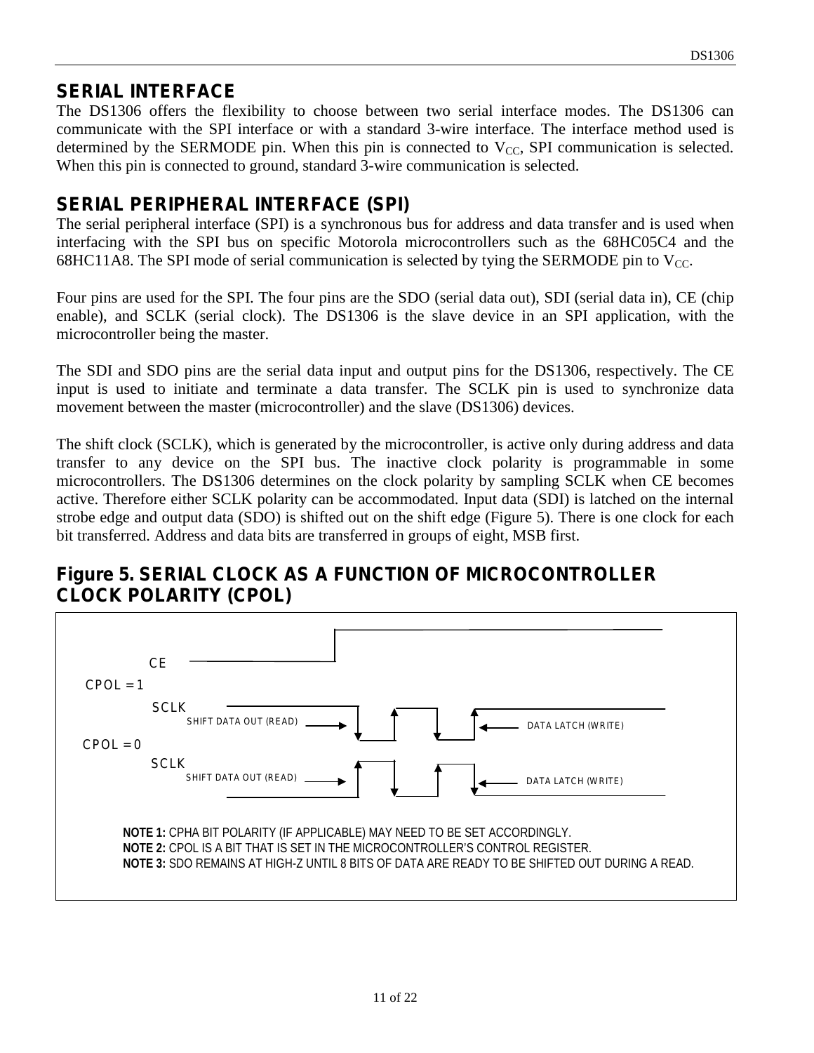## **SERIAL INTERFACE**

The DS1306 offers the flexibility to choose between two serial interface modes. The DS1306 can communicate with the SPI interface or with a standard 3-wire interface. The interface method used is determined by the SERMODE pin. When this pin is connected to  $V_{CC}$ , SPI communication is selected. When this pin is connected to ground, standard 3-wire communication is selected.

## **SERIAL PERIPHERAL INTERFACE (SPI)**

The serial peripheral interface (SPI) is a synchronous bus for address and data transfer and is used when interfacing with the SPI bus on specific Motorola microcontrollers such as the 68HC05C4 and the 68HC11A8. The SPI mode of serial communication is selected by tying the SERMODE pin to  $V_{CC}$ .

Four pins are used for the SPI. The four pins are the SDO (serial data out), SDI (serial data in), CE (chip enable), and SCLK (serial clock). The DS1306 is the slave device in an SPI application, with the microcontroller being the master.

The SDI and SDO pins are the serial data input and output pins for the DS1306, respectively. The CE input is used to initiate and terminate a data transfer. The SCLK pin is used to synchronize data movement between the master (microcontroller) and the slave (DS1306) devices.

The shift clock (SCLK), which is generated by the microcontroller, is active only during address and data transfer to any device on the SPI bus. The inactive clock polarity is programmable in some microcontrollers. The DS1306 determines on the clock polarity by sampling SCLK when CE becomes active. Therefore either SCLK polarity can be accommodated. Input data (SDI) is latched on the internal strobe edge and output data (SDO) is shifted out on the shift edge (Figure 5). There is one clock for each bit transferred. Address and data bits are transferred in groups of eight, MSB first.

## **Figure 5. SERIAL CLOCK AS A FUNCTION OF MICROCONTROLLER CLOCK POLARITY (CPOL)**

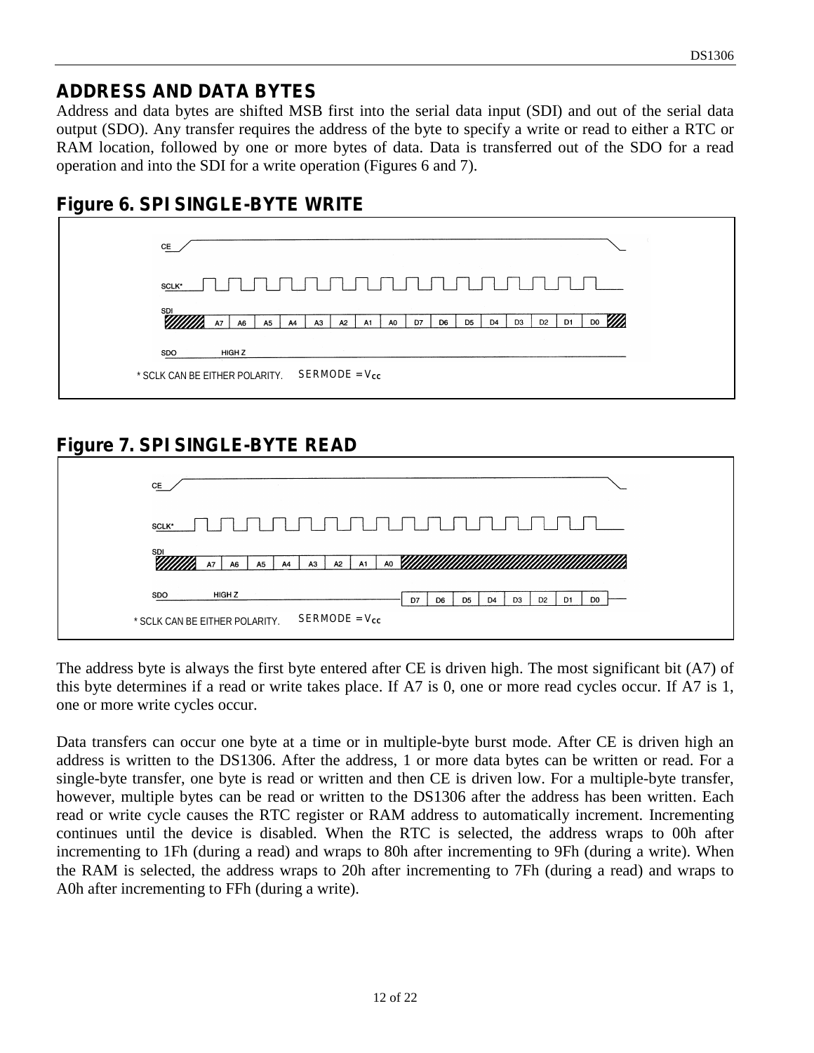#### **ADDRESS AND DATA BYTES**

Address and data bytes are shifted MSB first into the serial data input (SDI) and out of the serial data output (SDO). Any transfer requires the address of the byte to specify a write or read to either a RTC or RAM location, followed by one or more bytes of data. Data is transferred out of the SDO for a read operation and into the SDI for a write operation (Figures 6 and 7).



#### **Figure 6. SPI SINGLE-BYTE WRITE**

# **Figure 7. SPI SINGLE-BYTE READ**

| CE                             |                 |                      |                       |                |                                  |                      |                |                      |  |
|--------------------------------|-----------------|----------------------|-----------------------|----------------|----------------------------------|----------------------|----------------|----------------------|--|
| SCLK*                          |                 |                      |                       |                | $\mathbf{r}$                     |                      |                |                      |  |
| <b>SDI</b>                     | <b>A7</b><br>A6 | A <sub>5</sub><br>A4 | A3<br><b>A2</b><br>A1 | A <sub>0</sub> |                                  |                      |                |                      |  |
| SDO                            | HIGH Z          |                      |                       | D7             | D <sub>6</sub><br>D <sub>5</sub> | D3<br>D <sub>4</sub> | D <sub>2</sub> | D1<br>D <sub>0</sub> |  |
| * SCLK CAN BE EITHER POLARITY. |                 |                      | $SERMODE = V_{cc}$    |                |                                  |                      |                |                      |  |

The address byte is always the first byte entered after CE is driven high. The most significant bit (A7) of this byte determines if a read or write takes place. If A7 is 0, one or more read cycles occur. If A7 is 1, one or more write cycles occur.

Data transfers can occur one byte at a time or in multiple-byte burst mode. After CE is driven high an address is written to the DS1306. After the address, 1 or more data bytes can be written or read. For a single-byte transfer, one byte is read or written and then CE is driven low. For a multiple-byte transfer, however, multiple bytes can be read or written to the DS1306 after the address has been written. Each read or write cycle causes the RTC register or RAM address to automatically increment. Incrementing continues until the device is disabled. When the RTC is selected, the address wraps to 00h after incrementing to 1Fh (during a read) and wraps to 80h after incrementing to 9Fh (during a write). When the RAM is selected, the address wraps to 20h after incrementing to 7Fh (during a read) and wraps to A0h after incrementing to FFh (during a write).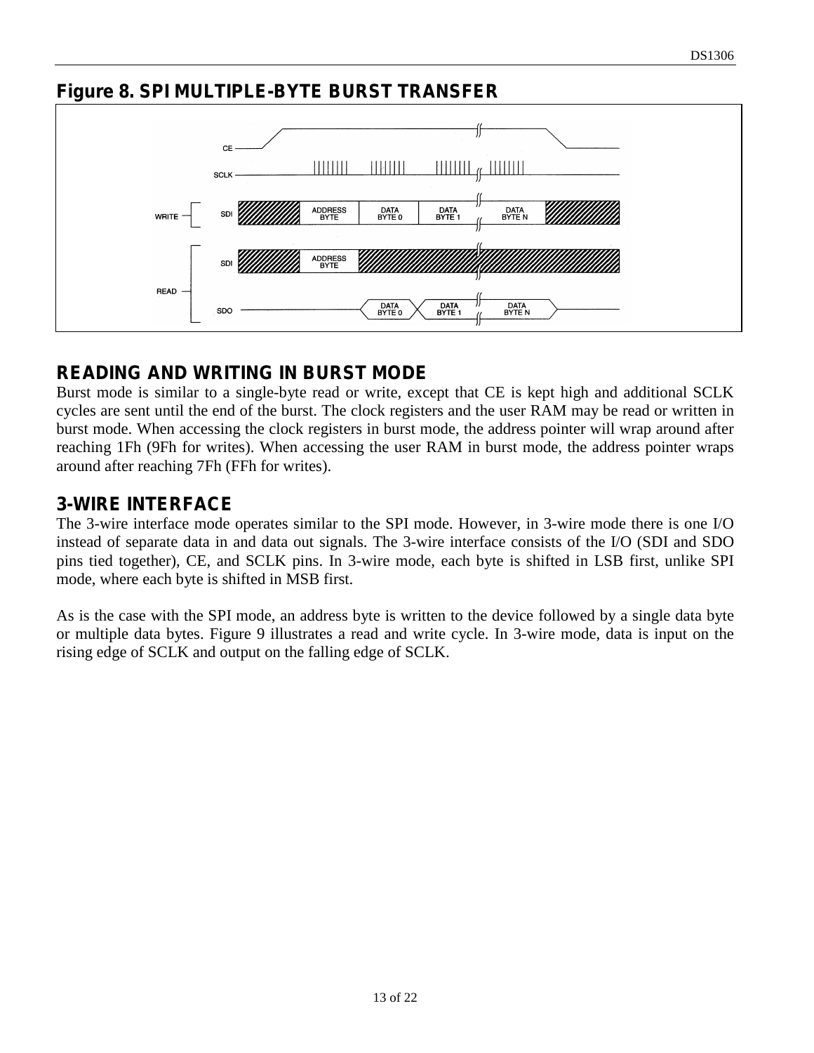## **Figure 8. SPI MULTIPLE-BYTE BURST TRANSFER**



# **READING AND WRITING IN BURST MODE**

Burst mode is similar to a single-byte read or write, except that CE is kept high and additional SCLK cycles are sent until the end of the burst. The clock registers and the user RAM may be read or written in burst mode. When accessing the clock registers in burst mode, the address pointer will wrap around after reaching 1Fh (9Fh for writes). When accessing the user RAM in burst mode, the address pointer wraps around after reaching 7Fh (FFh for writes).

#### **3-WIRE INTERFACE**

The 3-wire interface mode operates similar to the SPI mode. However, in 3-wire mode there is one I/O instead of separate data in and data out signals. The 3-wire interface consists of the I/O (SDI and SDO pins tied together), CE, and SCLK pins. In 3-wire mode, each byte is shifted in LSB first, unlike SPI mode, where each byte is shifted in MSB first.

As is the case with the SPI mode, an address byte is written to the device followed by a single data byte or multiple data bytes. Figure 9 illustrates a read and write cycle. In 3-wire mode, data is input on the rising edge of SCLK and output on the falling edge of SCLK.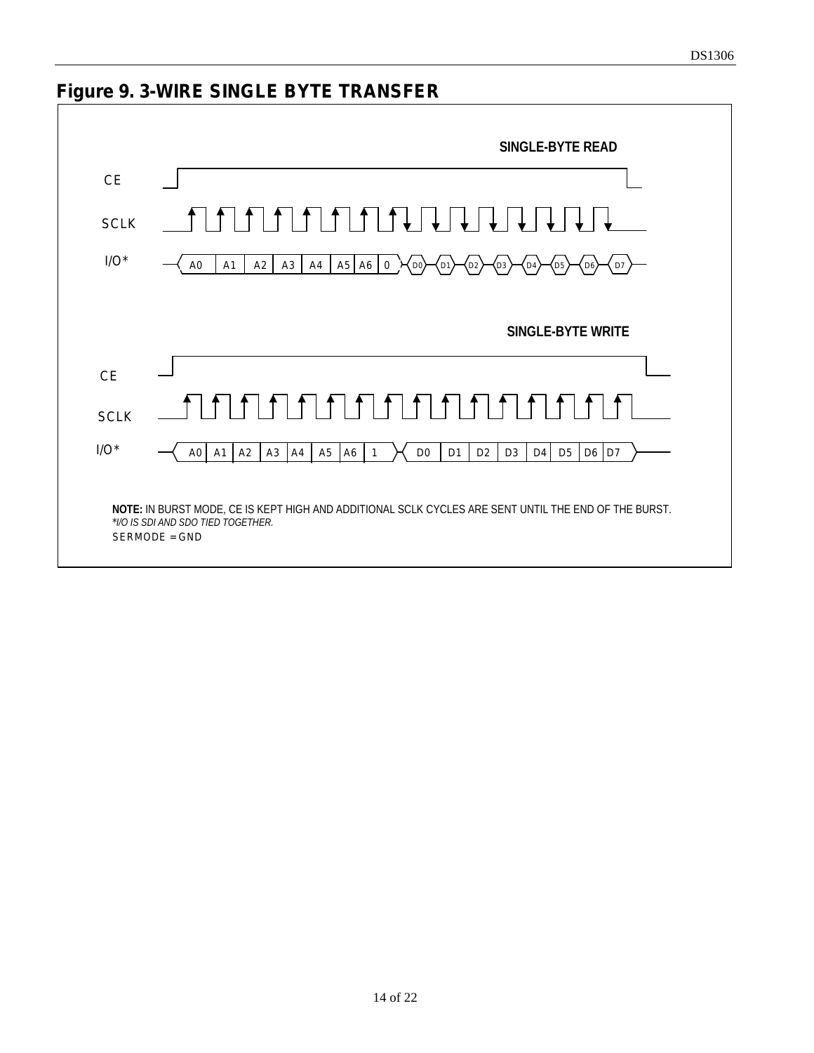# **Figure 9. 3-WIRE SINGLE BYTE TRANSFER**

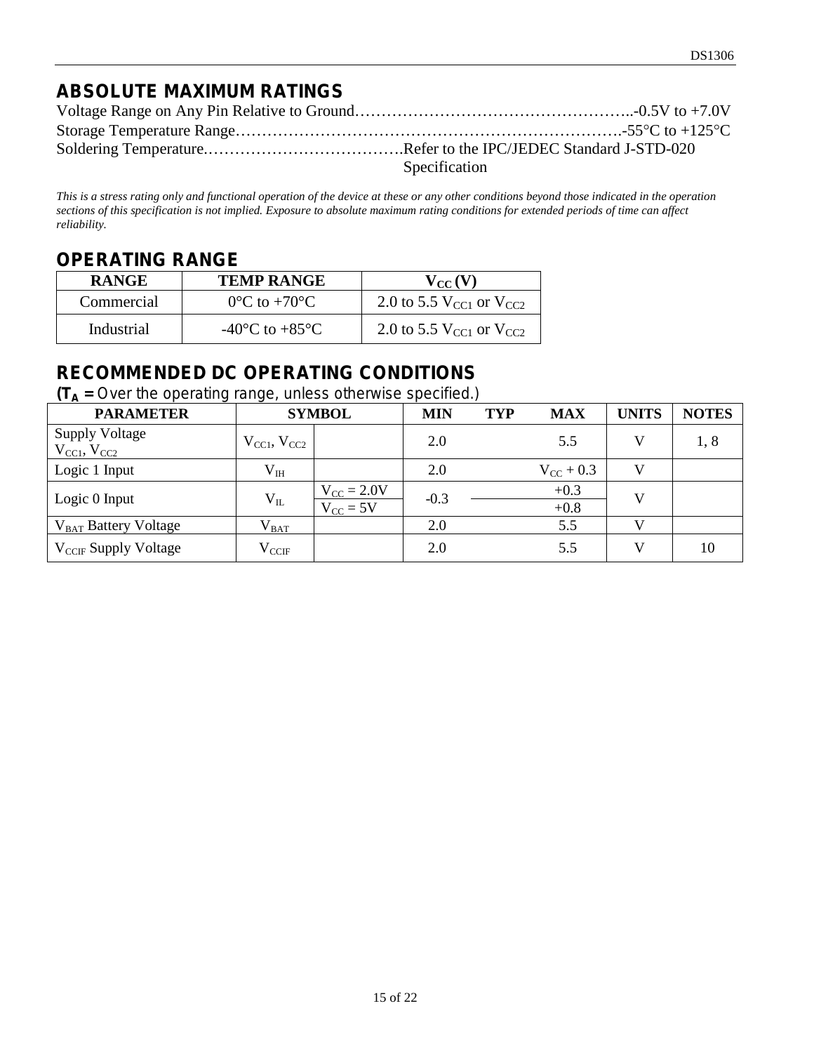# **ABSOLUTE MAXIMUM RATINGS**

| Specification |
|---------------|

*This is a stress rating only and functional operation of the device at these or any other conditions beyond those indicated in the operation sections of this specification is not implied. Exposure to absolute maximum rating conditions for extended periods of time can affect reliability.*

#### **OPERATING RANGE**

| <b>RANGE</b> | <b>TEMP RANGE</b>                    | $V_{CC}(V)$                               |
|--------------|--------------------------------------|-------------------------------------------|
| Commercial   | $0^{\circ}$ C to $+70^{\circ}$ C     | 2.0 to 5.5 $V_{\rm CC1}$ or $V_{\rm CC2}$ |
| Industrial   | -40 $^{\circ}$ C to +85 $^{\circ}$ C | 2.0 to 5.5 $V_{\rm CCl}$ or $V_{\rm CCl}$ |

## **RECOMMENDED DC OPERATING CONDITIONS**

 $(T_A =$  Over the operating range, unless otherwise specified.)

| <b>PARAMETER</b>                                       |                       | <b>SYMBOL</b>                                  | <b>MIN</b> | <b>TYP</b> | <b>MAX</b>         | <b>UNITS</b> | <b>NOTES</b> |
|--------------------------------------------------------|-----------------------|------------------------------------------------|------------|------------|--------------------|--------------|--------------|
| <b>Supply Voltage</b><br>$V_{\rm CCl}$ , $V_{\rm CC2}$ | $V_{CC1}$ , $V_{CC2}$ |                                                | 2.0        |            | 5.5                |              | 1,8          |
| Logic 1 Input                                          | $V_{IH}$              |                                                | 2.0        |            | $V_{\rm CC}$ + 0.3 | V            |              |
| Logic 0 Input                                          | $V_{IL}$              | $V_{\text{CC}} = 2.0V$<br>$V_{\text{CC}} = 5V$ | $-0.3$     |            | $+0.3$<br>$+0.8$   | $\mathbf{V}$ |              |
| V <sub>BAT</sub> Battery Voltage                       | $V_{BAT}$             |                                                | 2.0        |            | 5.5                |              |              |
| $V_{CCF}$ Supply Voltage                               | $\rm V_{\rm CCH}$     |                                                | 2.0        |            | 5.5                | V            | 10           |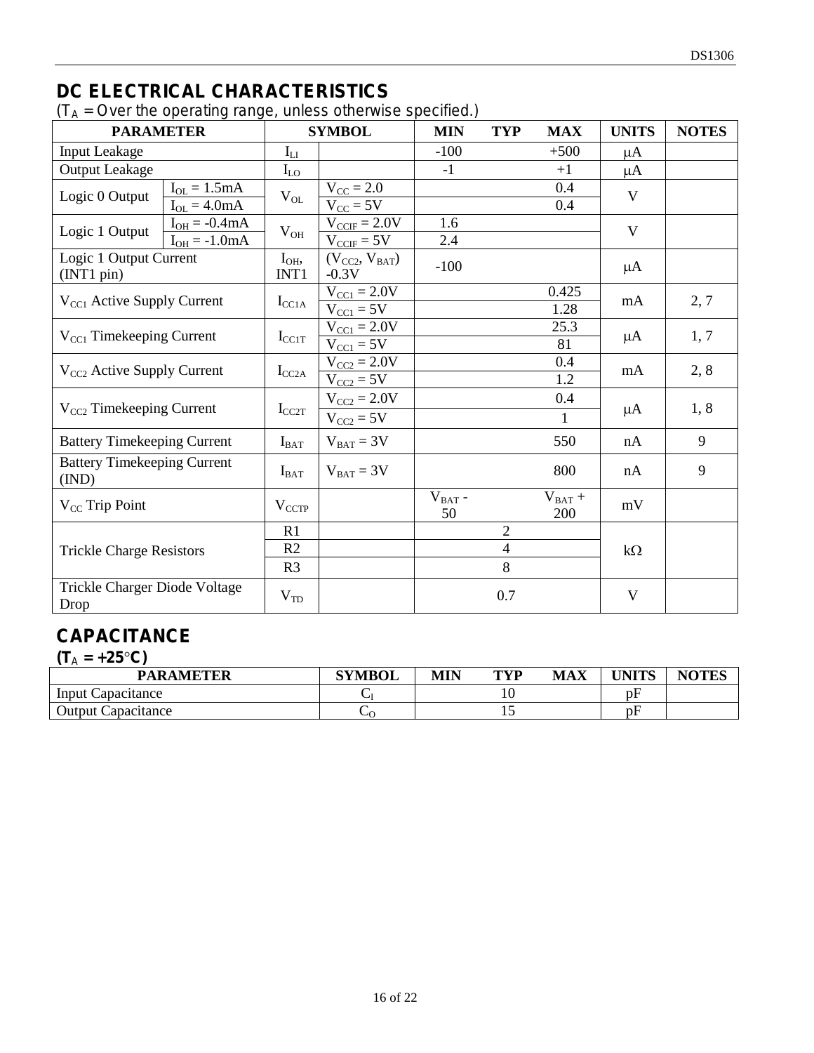# **DC ELECTRICAL CHARACTERISTICS**

 $(T_A = Over the operating range, unless otherwise specified.)$ 

| <b>PARAMETER</b>                            |                                        |                     | <b>SYMBOL</b>                                    | <b>MIN</b>            | <b>TYP</b>     | <b>MAX</b>         | <b>UNITS</b> | <b>NOTES</b> |
|---------------------------------------------|----------------------------------------|---------------------|--------------------------------------------------|-----------------------|----------------|--------------------|--------------|--------------|
| <b>Input Leakage</b>                        |                                        | $I_{LI}$            |                                                  | $-100$                |                | $+500$             | μA           |              |
| <b>Output Leakage</b>                       |                                        | $I_{LO}$            |                                                  | $-1$                  |                | $+1$               | μA           |              |
| Logic 0 Output                              | $I_{OL} = 1.5mA$<br>$I_{OL} = 4.0mA$   | $\rm V_{OL}$        | $V_{\text{CC}} = 2.0$<br>$V_{CC}$ = 5V           |                       |                | 0.4<br>0.4         | V            |              |
| Logic 1 Output                              | $I_{OH} = -0.4mA$<br>$I_{OH} = -1.0mA$ | $\rm V_{OH}$        | $V_{CCIF} = 2.0V$<br>$V_{CCF} = 5V$              | 1.6<br>2.4            |                |                    | V            |              |
| Logic 1 Output Current<br>(INT1 pin)        |                                        | $I_{OH}$<br>INT1    | $(V_{CC2}, V_{BAT})$<br>$-0.3V$                  | $-100$                |                |                    | $\mu A$      |              |
| V <sub>CC1</sub> Active Supply Current      |                                        | $I_{\rm CCA}$       | $V_{\text{CC1}} = 2.0V$<br>$V_{\text{CC1}} = 5V$ |                       |                | 0.425<br>1.28      | mA           | 2, 7         |
| $V_{\text{CC1}}$ Timekeeping Current        |                                        | $I_{\rm CC1T}$      | $V_{\text{CC1}} = 2.0V$<br>$V_{\text{CC1}} = 5V$ |                       |                | 25.3<br>81         | $\mu A$      | 1, 7         |
| $V_{CC2}$ Active Supply Current             |                                        | $I_{\rm CC2A}$      | $V_{CC2} = 2.0V$<br>$V_{CC2} = 5V$               |                       |                | 0.4<br>1.2         | mA           | 2, 8         |
| $V_{CC2}$ Timekeeping Current               |                                        | $I_{CC2T}$          | $V_{CC2} = 2.0V$<br>$V_{CC2} = 5V$               |                       |                | 0.4                | μA           | 1, 8         |
| <b>Battery Timekeeping Current</b>          |                                        | $I_{BAT}$           | $V_{BAT} = 3V$                                   |                       |                | 550                | nA           | 9            |
| <b>Battery Timekeeping Current</b><br>(IND) |                                        | $\rm I_{BAT}$       | $V_{BAT} = 3V$                                   |                       |                | 800                | nA           | 9            |
| $V_{CC}$ Trip Point                         |                                        | $V_{\text{CCTP}}$   |                                                  | $\rm V_{BAT}$ -<br>50 |                | $V_{BAT} +$<br>200 | mV           |              |
| <b>Trickle Charge Resistors</b>             |                                        | R1                  |                                                  |                       | $\overline{2}$ |                    |              |              |
|                                             |                                        | R2                  |                                                  | $\overline{4}$        |                | $k\Omega$          |              |              |
|                                             |                                        | 8<br>R <sub>3</sub> |                                                  |                       |                |                    |              |              |
| Trickle Charger Diode Voltage<br>Drop       |                                        | $V_{TD}$            |                                                  |                       | 0.7            |                    | V            |              |

# **CAPACITANCE**

| <b>PARAMETER</b>          | <b>SYMBOL</b> | MIN | <b>TYP</b> | <b>MAX</b> | <b>UNITS</b> | <b>NOTES</b><br><b>TEC</b> |
|---------------------------|---------------|-----|------------|------------|--------------|----------------------------|
| Input Capacitance         |               |     | ◡          |            | ηF           |                            |
| <b>Output Capacitance</b> | ◡             |     | ⊥ັ         |            | ηF           |                            |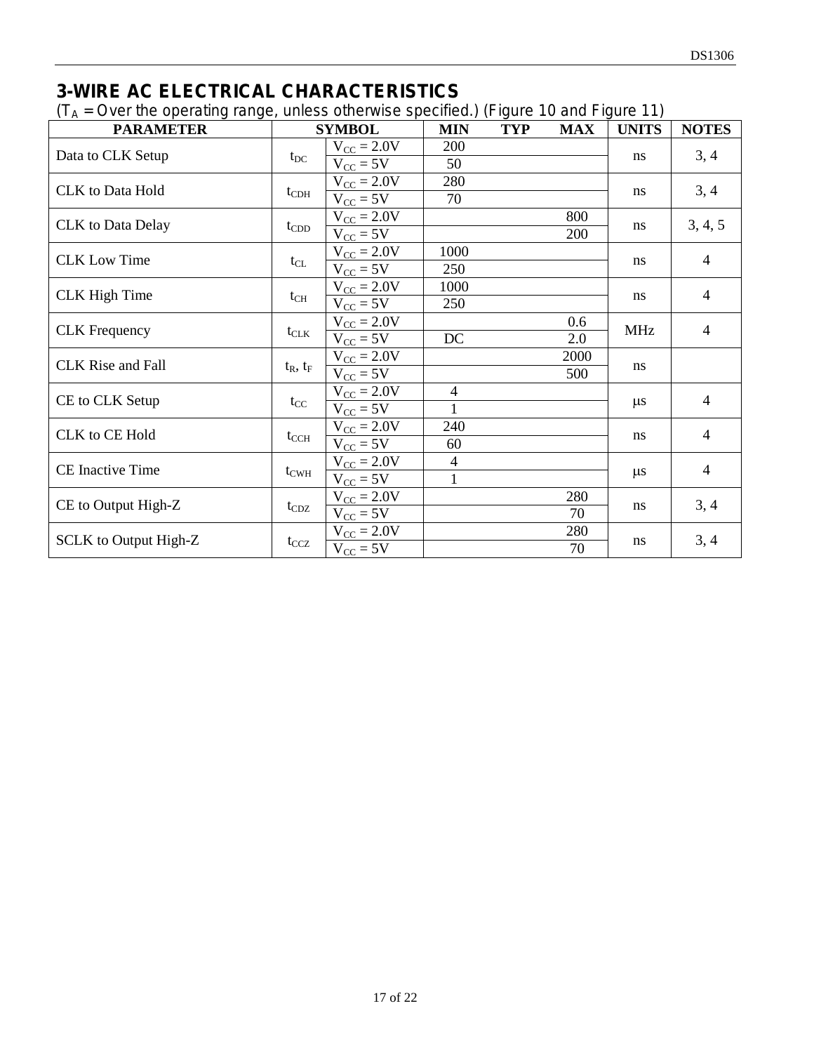# **3-WIRE AC ELECTRICAL CHARACTERISTICS**

 $(T_A = Over the operating range, unless otherwise specified.)$  (Figure 10 and Figure 11)

| $\sqrt{ }$<br><b>PARAMETER</b> |                  | <b>SYMBOL</b>          | <b>MIN</b>     | <b>TYP</b> | <b>MAX</b> | <b>UNITS</b> | <b>NOTES</b>   |
|--------------------------------|------------------|------------------------|----------------|------------|------------|--------------|----------------|
| Data to CLK Setup              |                  | $V_{\text{CC}} = 2.0V$ | 200            |            |            | ns           | 3, 4           |
|                                | $t_{DC}$         | $V_{\text{CC}} = 5V$   | 50             |            |            |              |                |
| <b>CLK</b> to Data Hold        |                  | $V_{\text{CC}} = 2.0V$ | 280            |            |            | ns           | 3, 4           |
|                                | $t_{CDH}$        | $V_{CC} = 5V$          | 70             |            |            |              |                |
| <b>CLK</b> to Data Delay       |                  | $V_{\text{CC}} = 2.0V$ |                |            | 800        |              |                |
|                                | $t_{\rm CDD}$    | $V_{CC} = 5V$          |                |            | 200        | ns           | 3, 4, 5        |
| <b>CLK Low Time</b>            |                  | $V_{\text{CC}} = 2.0V$ | 1000           |            |            |              | 4              |
|                                | $t_{CL}$         | $V_{CC} = 5V$          | 250            |            |            | ns           |                |
| <b>CLK</b> High Time           |                  | $V_{\text{CC}} = 2.0V$ | 1000           |            |            |              | 4              |
|                                | $t_{CH}$         | $V_{CC} = 5V$          | 250            |            |            | ns           |                |
| <b>CLK</b> Frequency           |                  | $V_{\text{CC}} = 2.0V$ |                |            | 0.6        | <b>MHz</b>   | 4              |
|                                | $t_{\text{CLK}}$ | $V_{CC} = 5V$          | DC             |            | 2.0        |              |                |
| <b>CLK</b> Rise and Fall       |                  | $V_{\text{CC}} = 2.0V$ |                |            | 2000       | ns           |                |
|                                | $t_R$ , $t_F$    | $V_{CC} = 5V$          |                |            | 500        |              |                |
| CE to CLK Setup                |                  | $V_{CC} = 2.0V$        | $\overline{4}$ |            |            |              | $\overline{4}$ |
|                                | $t_{\rm CC}$     | $V_{CC} = 5V$          | 1              |            |            | $\mu$ s      |                |
| CLK to CE Hold                 |                  | $V_{CC} = 2.0V$        | 240            |            |            |              | $\overline{4}$ |
|                                | $t_{\rm CCH}$    | $V_{CC} = 5V$          | 60             |            |            | ns           |                |
| CE Inactive Time               |                  | $V_{\text{CC}} = 2.0V$ | 4              |            |            |              | $\overline{4}$ |
|                                | $t_{\text{CWH}}$ | $V_{CC} = 5V$          | 1              |            |            | $\mu$ s      |                |
|                                |                  | $V_{\text{CC}} = 2.0V$ |                |            | 280        |              | 3, 4           |
| CE to Output High-Z            | $t_{CDZ}$        | $V_{CC}$ = 5V          |                |            | 70         | ns           |                |
| SCLK to Output High-Z          |                  | $V_{\text{CC}} = 2.0V$ |                |            | 280        |              | 3, 4           |
|                                | $t_{CCZ}$        | $V_{CC} = 5V$          |                |            | 70         | ns           |                |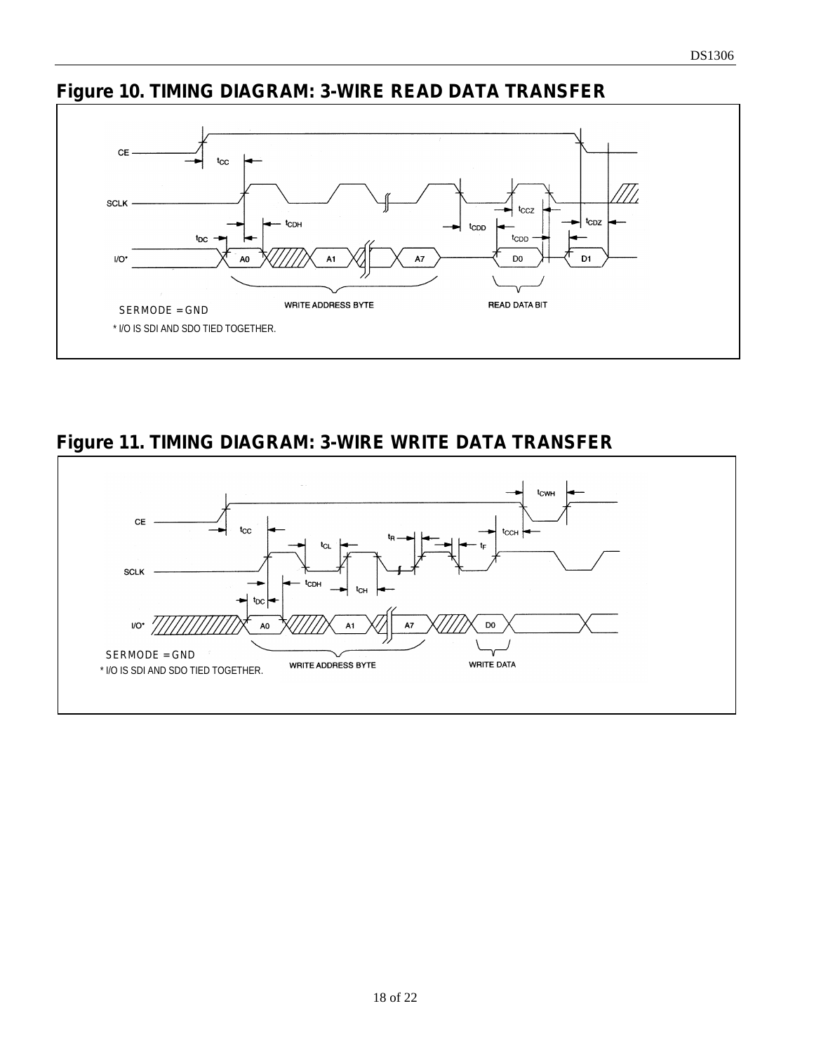# **Figure 10. TIMING DIAGRAM: 3-WIRE READ DATA TRANSFER**



**Figure 11. TIMING DIAGRAM: 3-WIRE WRITE DATA TRANSFER** 

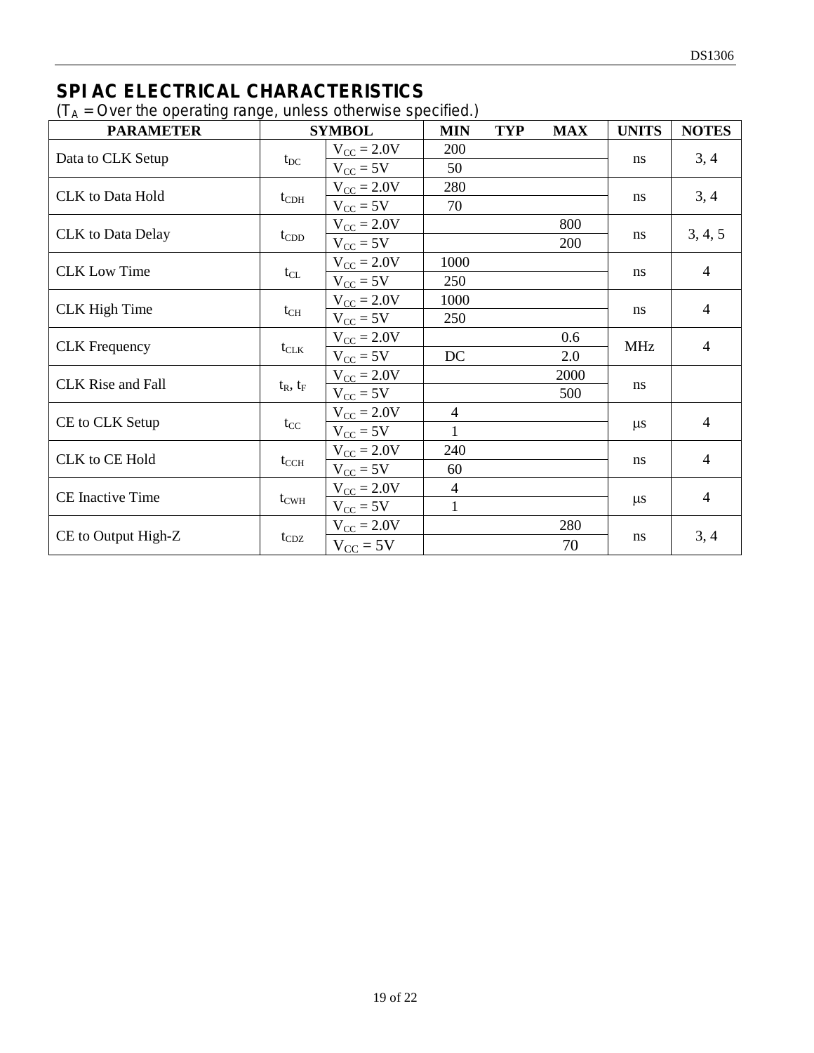# **SPI AC ELECTRICAL CHARACTERISTICS**

 $(T_A = Over the operating range, unless otherwise specified.)$ 

| $\cdots$<br><b>PARAMETER</b> |                  | <b>SYMBOL</b>          | <b>MIN</b>     | <b>TYP</b> | <b>MAX</b> | <b>UNITS</b> | <b>NOTES</b>   |
|------------------------------|------------------|------------------------|----------------|------------|------------|--------------|----------------|
|                              |                  | $V_{\text{CC}} = 2.0V$ | 200            |            |            |              |                |
| Data to CLK Setup            | $t_{DC}$         | $V_{CC} = 5V$          | 50             |            |            | ns           | 3, 4           |
| <b>CLK</b> to Data Hold      |                  | $V_{CC} = 2.0V$        | 280            |            |            | ns           | 3, 4           |
|                              | $t_{CDH}$        | $V_{CC} = 5V$          | 70             |            |            |              |                |
|                              |                  | $V_{\text{CC}} = 2.0V$ |                |            | 800        |              |                |
| <b>CLK</b> to Data Delay     | $t_{\rm CDD}$    | $V_{CC} = 5V$          |                |            | 200        | ns           | 3, 4, 5        |
| <b>CLK</b> Low Time          |                  | $V_{\text{CC}} = 2.0V$ | 1000           |            |            |              | $\overline{4}$ |
|                              | $t_{CL}$         | $V_{CC}$ = 5V          | 250            |            |            | ns           |                |
| <b>CLK</b> High Time         |                  | $V_{\text{CC}} = 2.0V$ | 1000           |            |            | ns           | 4              |
|                              | $t_{CH}$         | $V_{CC} = 5V$          | 250            |            |            |              |                |
| <b>CLK</b> Frequency         |                  | $V_{\text{CC}} = 2.0V$ |                |            | 0.6        | <b>MHz</b>   | $\overline{4}$ |
|                              | $t_{\text{CLK}}$ | $V_{CC} = 5V$          | DC             |            | 2.0        |              |                |
| <b>CLK</b> Rise and Fall     |                  | $V_{CC} = 2.0V$        |                |            | 2000       | ns           |                |
|                              | $t_R$ , $t_F$    | $V_{CC} = 5V$          |                |            | 500        |              |                |
| CE to CLK Setup              |                  | $V_{\text{CC}} = 2.0V$ | $\overline{4}$ |            |            | $\mu s$      | $\overline{4}$ |
|                              | $t_{\rm CC}$     | $V_{CC} = 5V$          | 1              |            |            |              |                |
| <b>CLK</b> to CE Hold        |                  | $V_{CC} = 2.0V$        | 240            |            |            |              | $\overline{4}$ |
|                              | $t_{\rm CCH}$    | $V_{CC} = 5V$          | 60             |            |            | ns           |                |
|                              |                  | $V_{\text{CC}} = 2.0V$ | $\overline{4}$ |            |            |              | 4              |
| <b>CE</b> Inactive Time      | $t_{\text{CWH}}$ | $V_{CC}$ = 5V          | 1              |            |            | $\mu$ s      |                |
|                              |                  | $V_{\text{CC}} = 2.0V$ |                |            | 280        |              |                |
| CE to Output High-Z          | $t_{CDZ}$        | $V_{CC} = 5V$          |                |            | 70         | ns           | 3, 4           |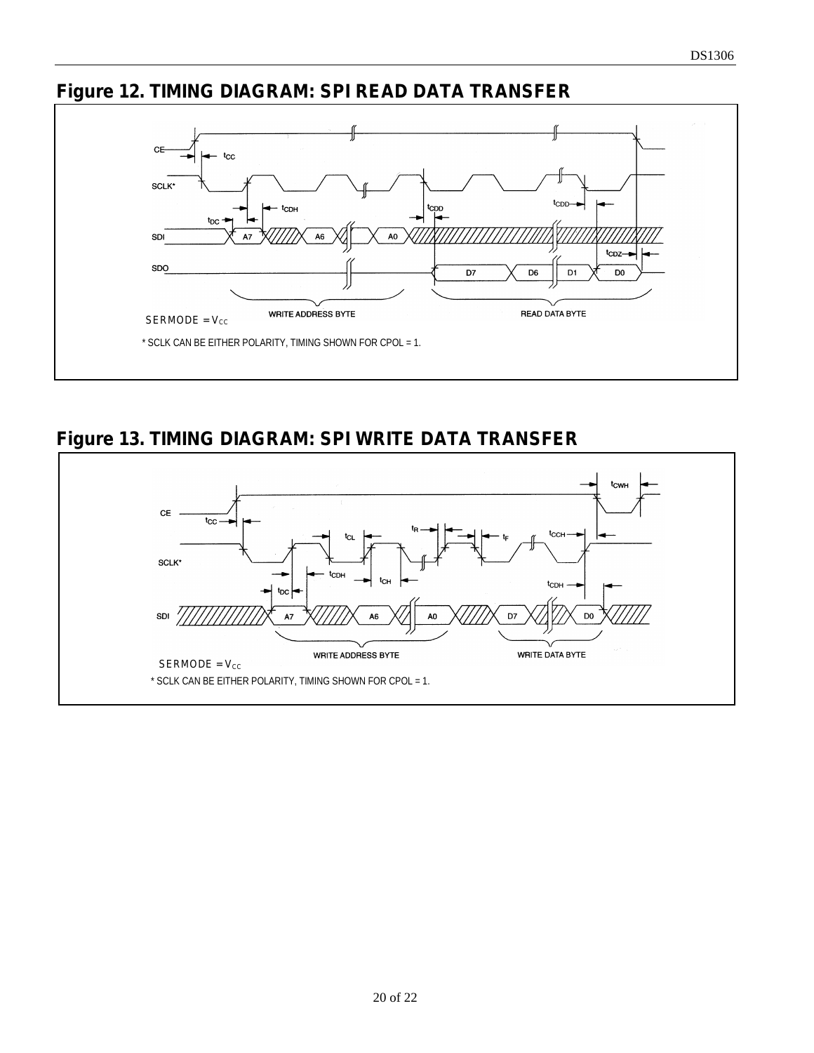# **Figure 12. TIMING DIAGRAM: SPI READ DATA TRANSFER**



**Figure 13. TIMING DIAGRAM: SPI WRITE DATA TRANSFER**

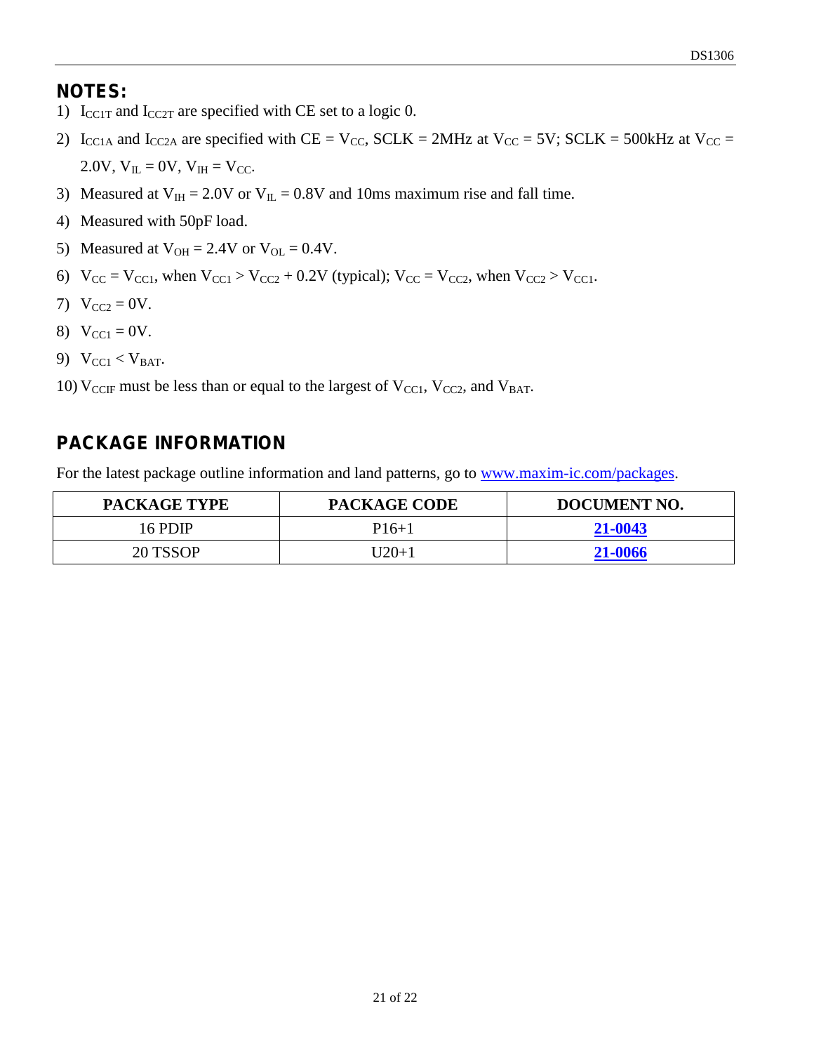#### **NOTES:**

- 1)  $I_{CCIT}$  and  $I_{CC2T}$  are specified with CE set to a logic 0.
- 2) I<sub>CC1A</sub> and I<sub>CC2A</sub> are specified with CE = V<sub>CC</sub>, SCLK = 2MHz at V<sub>CC</sub> = 5V; SCLK = 500kHz at V<sub>CC</sub> = 2.0V,  $V_{IL} = 0V$ ,  $V_{IH} = V_{CC}$ .
- 3) Measured at  $V_{\text{IH}} = 2.0V$  or  $V_{\text{IL}} = 0.8V$  and 10ms maximum rise and fall time.
- 4) Measured with 50pF load.
- 5) Measured at  $V_{OH} = 2.4V$  or  $V_{OL} = 0.4V$ .
- 6)  $V_{CC} = V_{CC1}$ , when  $V_{CC1} > V_{CC2} + 0.2V$  (typical);  $V_{CC} = V_{CC2}$ , when  $V_{CC2} > V_{CC1}$ .
- 7)  $V_{CC2} = 0V$ .
- 8)  $V_{\text{CC1}} = 0V$ .
- 9)  $V_{\text{CC1}} < V_{\text{BAT}}$ .
- 10)  $V_{CCF}$  must be less than or equal to the largest of  $V_{CCl}$ ,  $V_{CCl}$ , and  $V_{BAT}$ .

# **PACKAGE INFORMATION**

For the latest package outline information and land patterns, go to www.maxim-ic.com/packages.

| <b>PACKAGE TYPE</b> | <b>PACKAGE CODE</b> | <b>DOCUMENT NO.</b> |
|---------------------|---------------------|---------------------|
| 16 PDIP             | $P16+1$             | 21-0043             |
| 20 TSSOP            | U20+1               | 21-0066             |